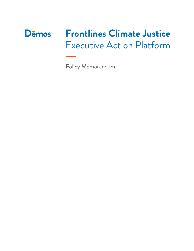# **Frontlines Climate Justice D**emos Executive Action Platform

Policy Memorandum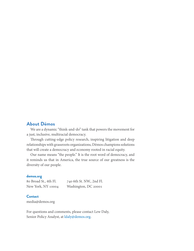# **About Dēmos**

We are a dynamic "think-and-do" tank that powers the movement for a just, inclusive, multiracial democracy.

Through cutting-edge policy research, inspiring litigation and deep relationships with grassroots organizations, Dēmos champions solutions that will create a democracy and economy rooted in racial equity.

Our name means "the people." It is the root word of democracy, and it reminds us that in America, the true source of our greatness is the diversity of our people.

#### **demos.org**

| 80 Broad St., 4th Fl. | 740 6th St. NW., 2nd Fl. |
|-----------------------|--------------------------|
| New York, NY 10004    | Washington, DC 20001     |

#### **Contact**

media@demos.org

For questions and comments, please contact Lew Daly, Senior Policy Analyst, at ldaly@demos.org.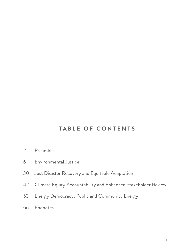# **TABLE OF CONTENTS**

- Preamble
- [Environmental Justice](#page-7-0)
- [Just Disaster Recovery and Equitable Adaptation](#page-31-0)
- [Climate Equity Accountability and Enhanced Stakeholder Review](#page-43-0)
- [Energy Democracy: Public and Community Energy](#page-54-0)
- [Endnotes](#page-67-0)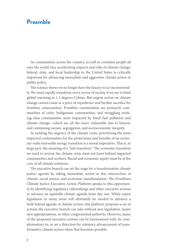# **Preamble**

As communities across the country, as well as countless people all over the world, face accelerating impacts and risks of climate change, federal, state, and local leadership in the United States is critically important for advancing immediate and aggressive climate action in public policy.

The science shows we no longer have the luxury to act incrementally. We must rapidly transform every sector of society if we are to limit global warming to 1.5 degrees Celsius. But urgent action on climate change cannot come at a price of expedience and further sacrifice for frontline communities. Frontline communities are primarily communities of color, Indigenous communities, and struggling working-class communities most impacted by fossil fuel pollution and climate change—which are all the more vulnerable due to historic and continuing racism, segregation, and socioeconomic inequity.

In tackling the urgency of the climate crisis, prioritizing the most impacted communities for the protections and benefits of an economy-wide renewable energy transition is a moral imperative. This is, in large part, the meaning of a "just transition." The economic transition we need to reverse the climate crisis must not leave behind impacted communities and workers. Racial and economic equity must be at the core of all climate solutions.

The executive branch can set the stage for a transformative climate justice agenda by taking immediate action at this intersection of climate, racial justice, and economic transformation. The Frontlines Climate Justice Executive Action Platform speaks to this opportunity by identifying regulatory rulemakings and other executive actions to advance an equitable climate agenda from day one. While major legislation in many areas will ultimately be needed to advance a bold federal agenda of climate action, this platform proposes a set of actions the executive branch can take without new legislation, major new appropriations, or other congressional authority. However, many of the proposed executive actions can be harmonized with, be complementary to, or set a direction for statutory advancement of transformative climate action when that becomes possible.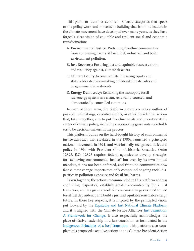This platform identifies actions in 4 basic categories that speak to the policy work and movement-building that frontline leaders in the climate movement have developed over many years, as they have forged a clear vision of equitable and resilient social and economic transformation:

- **A.Environmental Justice:** Protecting frontline communities from continuing harms of fossil fuel, industrial, and built environment pollution.
- **B. Just Recovery**: Ensuring just and equitable recovery from, and resiliency against, climate disasters.
- **C.Climate Equity Accountability**: Elevating equity and stakeholder decision-making in federal climate rules and programmatic investments.
- **D.Energy Democracy**: Remaking the monopoly fossil fuel energy system as a clean, renewably-sourced, and democratically-controlled commons.

In each of these areas, the platform presents a policy outline of possible rulemakings, executive orders, or other presidential actions that, taken together, aim to put frontline needs and priorities at the center of climate policy, including empowering grassroots stakeholders to be decision-makers in the process.

This platform builds on the hard-fought history of environmental justice advocacy that [escalated](https://www.citylab.com/equity/2015/11/how-the-collapse-of-soul-city-fired-up-the-environmental-justice-movement/415530/) in the 1980s, launched a [principled](https://www.ejnet.org/ej/principles.html) national movement in 1991, and was formally recognized in federal policy in 1994 with President Clinton's historic [Executive Order](https://www.archives.gov/files/federal-register/executive-orders/pdf/12898.pdf)  [12898.](https://www.archives.gov/files/federal-register/executive-orders/pdf/12898.pdf) E.O. 12898 requires federal agencies to develop strategies for "achieving environmental justice," but even by its own limited mandate, it has not been enforced, and frontline communities now face climate change impacts that only compound ongoing racial disparities in pollution exposure and fossil fuel harms.

Taken together, the actions recommended in this platform address continuing disparities, establish greater accountability for a just transition, and lay groundwork for systemic changes needed to end fossil fuel dependency and build a just and equitable renewable energy future. In these key respects, it is inspired by the principled vision put forward by the [Equitable and Just National Climate Platform](https://ajustclimate.org/), and it is aligned with the Climate Justice Alliance's [Just Transition:](https://climatejusticealliance.org/just-transition/)  [A Framework for Change.](https://climatejusticealliance.org/just-transition/) It also respectfully acknowledges the place of Native leadership in a just transition, as formulated in the [Indigenous Principles of a Just Transition.](http://www.ienearth.org/wp-content/uploads/2017/10/IENJustTransitionPrinciples.pdf) This platform also complements proposed executive actions in the Climate President Action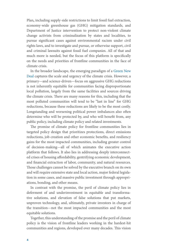Plan**,** including supply-side restrictions to limit fossil fuel extraction, economy-wide greenhouse gas (GHG) mitigation standards, and Department of Justice intervention to protect non-violent climate change activists from criminalization by states and localities, to pursue significant cases against environmental racism under civil rights laws, and to investigate and pursue, or otherwise support, civil and criminal lawsuits against fossil fuel companies. All of that and much more is needed, but the focus of this platform is specifically on the needs and priorities of frontline communities in the face of climate crisis.

In the broader landscape, the emerging paradigm of a [Green New](https://www.congress.gov/bill/116th-congress/house-resolution/109/text) [Deal](https://www.congress.gov/bill/116th-congress/house-resolution/109/text) captures the scale and urgency of the climate crisis. However, a primary—and science-driven—focus on aggressive GHG reductions is not inherently equitable for communities facing disproportionate local pollution, largely from the same facilities and sources driving the climate crisis. There are many reasons for this, including that the most polluted communities will tend to be "last in line" for GHG reductions, because these reductions are likely to be the most costly. Longstanding and worsening political power imbalances also often determine who will be protected by, and who will benefit from, any public policy, including climate policy and related investments.

The promise of climate policy for frontline communities lies in targeted policy design that prioritizes protections, direct emissions reductions, job creation and other economic benefits, and resiliency gains for the most impacted communities, including greater control of decision-making—all of which animates the executive action platform that follows. It also lies in addressing deeply interconnected crises of housing affordability, gentrifying economic development, and financial extraction of labor, community, and natural resources. Those challenges cannot be solved by the executive branch on its own and will require extensive state and local action, major federal legislation in some cases, and massive public investment through appropriations, bonding, and other means.

In contrast with the promise, the peril of climate policy lies in deferment of and underinvestment in equitable and transformative solutions, and elevation of false solutions that put markets, unproven technology, and, ultimately, private investors in charge of the transition—not the most impacted communities and the most equitable solutions.

Together, this understanding of the promise and the peril of climate policy is the vision of frontline leaders working in the hardest-hit communities and regions, developed over many decades. This vision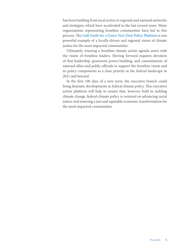has been building from local action to regional and national networks and strategies, which have accelerated in the last several years. Many organizations representing frontline communities have led in this process. The [Gulf South for a Green New Deal Policy Platform](https://f051d680-6bda-4883-b0d9-76edcc6ecdae.filesusr.com/ugd/6ac318_4a76df6a0cd949508798d3cbd66e3e62.pdf) is one powerful example of a locally-driven and regional vision of climate justice for the most impacted communities.

Ultimately, winning a frontline climate action agenda starts with the vision of frontline leaders. Moving forward requires elevation of that leadership, grassroots power-building, and commitments of national allies and public officials to support the frontline vision and its policy components as a clear priority in the federal landscape in 2021 and beyond.

In the first 100 days of a new term, the executive branch could bring dramatic developments in federal climate policy. This executive action platform will help to ensure that, however bold in tackling climate change, federal climate policy is centered on advancing racial justice and ensuring a just and equitable economic transformation for the most impacted communities.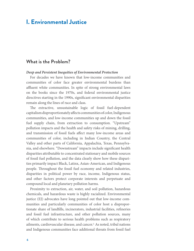# <span id="page-7-0"></span>**I. Environmental Justice**

## **What is the Problem?**

#### *Deep and Persistent Inequities of Environmental Protection*

For decades we have known that low-income communities and communities of color face greater environmental burdens than affluent white communities. In spite of strong environmental laws on the books since the 1970s, and federal environmental justice directives starting in the 1990s, significant environmental disparities remain along the lines of race and class.

The extractive, unsustainable logic of fossil fuel-dependent capitalism disproportionately affects communities of color, Indigenous communities, and low-income communities up and down the fossil fuel supply chain, from extraction to consumption. "Upstream" pollution impacts and the health and safety risks of mining, drilling, and transmission of fossil fuels affect many low-income areas and communities of color, including in Indian Country, the Central Valley and other parts of California, Appalachia, Texas, Pennsylvania, and elsewhere. "Downstream" impacts include significant health disparities attributable to concentrated stationary and mobile sources of fossil fuel pollution, and the data clearly show how these disparities primarily impact Black, Latinx, Asian-American, and Indigenous people. Throughout the fossil fuel economy and related industries, disparities in political power by race, income, Indigenous status, and other factors protect corporate interests and perpetuate and compound local and planetary pollution harms.

Proximity to extraction, air, water, and soil pollution, hazardous chemicals, and hazardous waste is highly racialized. Environmental justice (EJ) advocates have long pointed out that low-income communities and particularly communities of color host a disproportionate share of landfills, incinerators, industrial facilities, refineries and fossil fuel infrastructure, and other pollution sources, many of which contribute to serious health problems such as respiratory ailments, cardiovascular disease, and cancer.<sup>1</sup> As noted, tribal nations and Indigenous communities face additional threats from fossil fuel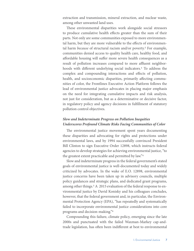extraction and transmission, mineral extraction, and nuclear waste, among other unwanted land uses.

These environmental disparities work alongside social stressors to produce cumulative health effects greater than the sum of their parts. Not only are some communities exposed to more environmental harm, but they are more vulnerable to the effects of environmental harm *because* of structural racism and/or poverty.2 For example, communities denied access to quality health care, healthy food, and affordable housing will suffer more severe health consequences as a result of pollution increases compared to more affluent neighborhoods with different underlying social indicators.<sup>3</sup> To address the complex and compounding interactions and effects of pollution, health, and socioeconomic disparities, primarily affecting communities of color, the Frontlines Executive Action Platform follows the lead of environmental justice advocates in placing major emphasis on the need for integrating cumulative impacts and risk analysis, not just for consideration, but as a determinative or decisive factor, in regulatory policy and agency decisions in fulfillment of statutory pollution control objectives.

### *Slow and Indeterminate Progress on Pollution Inequities Underscores Profound Climate Risks Facing Communities of Color*

The environmental justice movement spent years documenting these disparities and advocating for rights and protections under environmental laws, and by 1994 successfully convinced President Bill Clinton to sign Executive Order 12898, which instructs federal agencies to develop strategies for achieving environmental justice, "to the greatest extent practicable and permitted by law."4

Slow and indeterminate progress in the federal government's stated goals of environmental justice is well-documented today and widely criticized by advocates. In the wake of E.O. 12898, environmental justice concerns have been taken up in advisory councils, multiple policy guidances and strategic plans, and dedicated grant programs, among other things.<sup>5</sup> A 2015 evaluation of the federal response to environmental justice by David Konisky and his colleagues concludes, however, that the federal government and, in particular, the Environmental Protection Agency (EPA), "has repeatedly and systematically failed to incorporate environmental justice considerations into core programs and decision-making."6

Compounding this failure, climate policy, emerging since the late 2000s and punctuated with the failed Waxman-Markey cap-andtrade legislation, has often been indifferent at best to environmental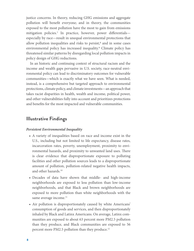justice concerns. In theory, reducing GHG emissions and aggregate pollution will benefit everyone; and in theory, the communities exposed to the most pollution have the most to gain from emissions mitigation policies.7 In practice, however, power differentials especially by race—result in unequal environmental protections that allow pollution inequalities and risks to persist,<sup>8</sup> and in some cases environmental policy has increased inequality.<sup>9</sup> Climate policy has threatened similar patterns by disregarding local pollution impacts in policy design of GHG reductions.

In an historic and continuing context of structural racism and the income and wealth gaps pervasive in U.S. society, race-neutral environmental policy can lead to discriminatory outcomes for vulnerable communities—which is exactly what we have seen. What is needed, instead, is a comprehensive but targeted approach to environmental protections, climate policy, and climate investments—an approach that takes racist disparities in health, wealth and income, political power, and other vulnerabilities fully into account and prioritizes protections and benefits for the most impacted and vulnerable communities.

## **Illustrative Findings**

#### *Persistent Environmental Inequality*

- **•** A variety of inequalities based on race and income exist in the U.S., including but not limited to life expectancy, disease rates, incarceration rates, poverty, unemployment, proximity to environmental hazards, and proximity to unwanted land uses. There is clear evidence that disproportionate exposure to polluting facilities and other pollution sources leads to a disproportionate amount of pollution, pollution-related negative health impacts, and other hazards.<sup>10</sup>
- **•** Decades of data have shown that middle- and high-income neighborhoods are exposed to less pollution than low-income neighborhoods, and that Black and brown neighborhoods are exposed to more pollution than white neighborhoods with the same average income.<sup>11</sup>
- **•** Air pollution is disproportionately caused by white Americans' consumption of goods and services, and then disproportionately inhaled by Black and Latinx Americans. On average, Latinx communities are exposed to about 63 percent more PM2.5 pollution than they produce, and Black communities are exposed to 56 percent more PM2.5 pollution than they produce.<sup>12</sup>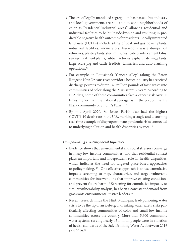- **•** The era of legally mandated segregation has passed, but industry and local governments are still able to zone neighborhoods of color as "residential/industrial areas," allowing residential and industrial facilities to be built side-by-side and resulting in predictable negative health outcomes for residents. Locally unwanted land uses (LULUs) include siting of coal and gas power plants, industrial facilities, incinerators, hazardous waste dumps, oil refineries, plastic plants, steel mills, pesticide plants, cement kilns, sewage treatment plants, rubber factories, asphalt patching plants, large-scale pig and cattle feedlots, tanneries, and auto crushing operations.13
- **•** For example, in Louisiana's "Cancer Alley" (along the Baton Rouge to New Orleans river corridor), heavy industry has received discharge permits to dump 140 million pounds of toxic waste into communities of color along the Mississippi River.14 According to EPA data, some of these communities face a cancer risk over 50 times higher than the national average, as in the predominantly Black community of St John's Parish.15
- **•** By mid-April 2020, St. John's Parish also had the highest COVID-19 death rate in the U.S., marking a tragic and disturbing real-time example of disproportionate pandemic risks connected to underlying pollution and health disparities by race.16

### *Compounding Existing Social Injustices*

- **•** Evidence shows that environmental and social stressors converge in many low-income communities, and that residential context plays an important and independent role in health disparities, which indicates the need for targeted place-based approaches to policymaking. 17 One effective approach is to use cumulative impacts screening to map, characterize, and target vulnerable communities for interventions that improve existing conditions and prevent future harm.18 Screening for cumulative impacts, or similar vulnerability analysis, has been a consistent demand from grassroots environmental justice leaders.19
- **•** Recent research finds the Flint, Michigan, lead-poisoning water crisis to be the tip of an iceberg of drinking water safety risks particularly affecting communities of color and small low-income communities across the country. More than 5,600 community water systems serving nearly 45 million people were in violation of health standards of the Safe Drinking Water Act between 2016 and 2019.20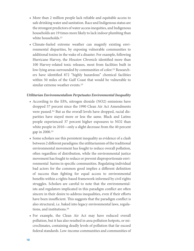- **•** More than 2 million people lack reliable and equitable access to safe drinking water and sanitation. Race and Indigenous status are the strongest predictors of water access inequities, and Indigenous households are 19 times more likely to lack indoor plumbing than white households.<sup>21</sup>
- **•** Climate-fueled extreme weather can magnify existing environmental disparities, by exposing vulnerable communities to additional toxins in the wake of a disaster. For example, following Hurricane Harvey, the *Houston Chronicle* identified more than 100 Harvey-related toxic releases, most from facilities built in low-lying areas surrounded by communities of color.<sup>22</sup> Researchers have identified 872 "highly hazardous" chemical facilities within 50 miles of the Gulf Coast that would be vulnerable to similar extreme weather events.<sup>23</sup>

#### *Utilitarian Environmentalism Perpetuates Environmental Inequality*

- **•** According to the EPA, nitrogen dioxide (NO2) emissions have dropped 57 percent since the 1990 Clean Air Act Amendments were passed.<sup>24</sup> But as the overall levels have dropped, racial disparities have stayed more or less the same. Black and Latinx people experienced 37 percent higher exposures to NO2 than white people in 2010—only a slight decrease from the 40 percent gap in 2000.25
- **•** Some scholars see this persistent inequality as evidence of a clash between 2 different paradigms: the utilitarianism of the traditional environmental movement has fought to reduce overall pollution, often regardless of distribution, while the environmental justice movement has fought to reduce or prevent disproportionate environmental harms in specific communities. Regulating individual bad actors for the common good implies a different definition of success than fighting for equal access to environmental benefits within a rights-based framework informed by civil rights struggles. Scholars are careful to note that the environmentalists and regulators implicated in this paradigm conflict are often sincere in their desire to address inequalities, even if their efforts have been insufficient. This suggests that the paradigm conflict is also structural, i.e. baked into legacy environmental laws, regulations, and institutions.26
- **•** For example, the Clean Air Act may have reduced overall pollution, but it has also resulted in area pollution hotpots, or microclimates, containing deadly levels of pollution that far exceed federal standards. Low-income communities and communities of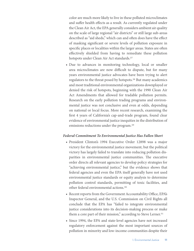color are much more likely to live in these polluted microclimates and suffer health effects as a result. As currently regulated under the Clean Air Act, the EPA generally considers ambient air quality on the scale of large regional "air districts" or still large sub-areas described as "aid sheds," which can and often does have the effect of masking significant or severe levels of pollution exposure in specific places or localities within the larger areas. States are often effectively shielded from having to remediate these pollution hotspots under Clean Air Act standards.<sup>27</sup>

**•** Due to advances in monitoring technology, local or smaller area microclimates are now difficult to dispute, but for many years environmental justice advocates have been trying to alert regulators to the threat posed by hotspots.28 But many academics and most traditional environmental organizations downplayed or denied the risk of hotspots, beginning with the 1990 Clean Air Act Amendments that allowed for tradable pollution permits. Research on the early pollution trading programs and environmental justice was not conclusive and even at odds, depending on national or local focus. More recent research, examining the first 4 years of California's cap-and-trade program, found clear evidence of environmental justice inequities in the distribution of emissions reductions under the program.<sup>29</sup>

#### *Federal Commitment To Environmental Justice Has Fallen Short*

- **•** President Clinton's 1994 Executive Order 12898 was a major victory for the environmental justice movement, but the political victory has largely failed to translate into reducing pollution disparities in environmental justice communities. The executive order directs all relevant agencies to develop policy strategies for "achieving environmental justice," but the evidence shows that federal agencies and even the EPA itself generally have not used environmental justice standards or equity analysis to determine pollution control standards, permitting of toxic facilities, and other federal environmental actions.30
- **•** Recent reports from the Government Accountability Office, EPA's Inspector General, and the U.S. Commission on Civil Rights all conclude that the EPA has "failed to integrate environmental justice considerations into its decision-making process or make them a core part of their mission," according to Steve Lerner.<sup>31</sup>
- **•** Since 1994, the EPA and state-level agencies have not increased regulatory enforcement against the most important sources of pollution in minority and low-income communities despite their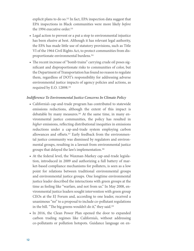explicit plans to do so.<sup>32</sup> In fact, EPA inspection data suggest that EPA inspections in Black communities were more likely *before*  the 1994 executive order.<sup>33</sup>

- **•** Legal action to prevent or a put a stop to environmental injustice has been elusive at best. Although it has relevant legal authority, the EPA has made little use of statutory provisions, such as Title VI of the 1964 Civil Rights Act, to protect communities from disproportionate environmental burdens.34
- **•** The recent increase of "bomb trains" carrying crude oil poses significant and disproportionate risks to communities of color, but the Department of Transportation has found no reason to regulate them, regardless of DOT's responsibility for addressing adverse environmental justice impacts of agency policies and actions, as required by E.O. 12898.35

### *Indifference To Environmental Justice Concerns In Climate Policy*

- **•** California's cap-and-trade program has contributed to statewide emissions reductions, although the extent of this impact is debatable by many measures.<sup>36</sup> At the same time, in many environmental justice communities, the policy has resulted in *higher* emissions, reflecting distributional inequities in emissions reductions under a cap-and-trade system employing carbon allowances and offsets.37 Early feedback from the environmental justice community was dismissed by regulators and environmental groups, resulting in a lawsuit from environmental justice groups that delayed the law's implementation.38
- **•** At the federal level, the Waxman-Markey cap-and-trade legislation, introduced in 2009 and authorizing a full battery of market-based compliance mechanisms for polluters, is seen as a low point for relations between traditional environmental groups and environmental justice groups. One longtime environmental justice leader described the interactions with green groups at the time as feeling like "warfare, and not from us." In May 2008, environmental justice leaders sought intervention with green group CEOs at the EJ Forum and, according to one leader, received a unanimous "no" to a proposal to include co-pollutant regulations in the bill. "The big greens wouldn't do it," they said.<sup>39</sup>
- **•** In 2016, the Clean Power Plan opened the door to expanded carbon trading regimes like California's, without addressing co-pollutants or pollution hotspots. Guidance language on en-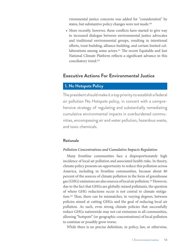vironmental justice concerns was added for "consideration" by states, but substantive policy changes were not made.<sup>40</sup>

• More recently, however, these conflicts have started to give way to increased dialogue between environmental justice advocates and traditional environmental groups, resulting in intentional efforts, trust-building, alliance-building, and certain limited collaborations among some actors.<sup>41</sup> The recent Equitable and Just National Climate Platform reflects a significant advance in this conciliatory trend.42

# **Executive Actions For Environmental Justice**

## **1. No Hotspots Policy**

The president should make it a top priority to establish a federal air pollution No Hotspots policy, in concert with a comprehensive strategy of regulating and substantially remediating cumulative environmental impacts in overburdened communities, encompassing air and water pollution, hazardous waste, and toxic chemicals.

### **Rationale**

### *Pollution Concentrations and Cumulative Impacts Regulation*

Many frontline communities face a disproportionately high incidence of local air pollution and associated health risks. In theory, climate policy presents an opportunity to reduce this pollution across America, including in frontline communities, because about 80 percent of the sources of climate pollution in the form of greenhouse gas (GHG) emissions are also sources of local air pollution.43 However, due to the fact that GHGs are globally-mixed pollutants, the question of where GHG reductions occur is not central to climate mitigation.44 Thus, there can be mismatches, in varying degrees, between policies aimed at cutting GHGs and the goal of reducing local air pollution. As such, even strong climate policies that successfully reduce GHGs nationwide may not cut emissions in all communities, allowing "hotspots" (or geographic concentrations) of local pollution to continue or possibly grow worse.

While there is no precise definition, in policy, law, or otherwise,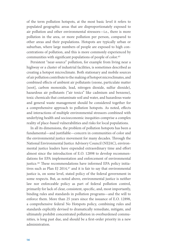of the term pollution hotspots, at the most basic level it refers to populated geographic areas that are disproportionately exposed to air pollution and other environmental stressors—i.e., there is more pollution in the area, or more pollution per person, compared to other areas and their populations. Hotspots are typically urban or suburban, where large numbers of people are exposed to high concentrations of pollution, and this is more commonly experienced by communities with significant populations of people of color.45

Persistent "near-source" pollution, for example from living near a highway or a cluster of industrial facilities, is sometimes described as creating a hotspot microclimate. Both stationary and mobile sources of air pollution contribute to the making of hotspot microclimates, and combined effects of ambient air pollutants (ozone, particulate matter [soot], carbon monoxide, lead, nitrogen dioxide, sulfur dioxide), hazardous air pollutants ("air toxics" like cadmium and benzene), toxic chemicals that contaminate soil and water, and hazardous waste and general waste management should be considered together for a comprehensive approach to pollution hotspots. As noted, effects and interactions of multiple environmental stressors combined with underlying health and socioeconomic inequities comprise a complex reality of place-based vulnerabilities and risks for local populations.

In all its dimensions, the problem of pollution hotspots has been a fundamental—and justifiable—concern in communities of color and the environmental justice movement for many decades. Through the National Environmental Justice Advisory Council (NEJAC), environmental justice leaders have expended extraordinary time and effort almost since the introduction of E.O. 12898 to develop recommendations for EPA implementation and enforcement of environmental justice.46 These recommendations have informed EPA policy initiatives such as Plan EJ 2014, $47$  and it is fair to say that environmental justice is, on some level, stated policy of the federal government in some respects. But, as noted above, environmental justice is neither law nor enforceable policy as part of federal pollution control, primarily for lack of clear, consistent, specific, and, most importantly, binding rules and standards in pollution programs—and the will to enforce them. More than 25 years since the issuance of E.O. 12898, a comprehensive federal No Hotspots policy, combining rules and standards explicitly devised to dramatically remediate, mitigate, and ultimately prohibit concentrated pollution in overburdened communities, is long past due, and should be a first-order priority in a new administration.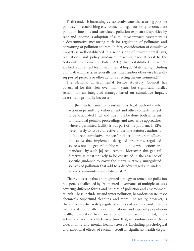To this end, it is increasingly clear to advocates that a strong possible pathway for establishing environmental legal authority to remediate pollution hotspots and correlated pollution exposure disparities by race and income is adoption of cumulative impacts assessment as a determinative measuring stick for regulation of pollutants and permitting of pollution sources. In fact, consideration of cumulative impacts is well established in a wide scope of environmental laws, regulations, and policy guidances, reaching back at least to the National Environmental Policy Act (which established the widely applied requirement for Environmental Impact Statements, including cumulative impacts, in federally permitted and/or otherwise federally supported projects or other actions affecting the environment).<sup>48</sup>

The National Environmental Justice Advisory Council has advocated for this view over many years, but significant hurdles remain for an integrated strategy based on cumulative impacts assessment, primarily because:

[t]he mechanisms to translate this legal authority into action in permitting, enforcement and other contexts has yet to be articulated [….] and this must be done both in terms of individual permits proceedings and area-wide approaches where a permitted facility is but part of the problem. If EPA were merely to issue a directive under one statutory authority to "address cumulative impacts," neither its program offices, the states that implement delegated programs, regulated sources nor the general public would know what actions are mandated by such [a] requirement. Moreover, this general directive is most unlikely to be construed in the absence of specific guidance to cover the many relatively unregulated sources of pollution that add to a disadvantaged and underserved community's cumulative risk.<sup>49</sup>

Clearly it is true that an integrated strategy to remediate pollution hotspots is challenged by fragmented governance of multiple statutes covering different forms and sources of pollution and environmental risk. These include air and water pollution, hazardous waste, toxic chemicals, Superfund cleanups, and more. The reality, however, is that otherwise disparately regulated sources of pollution and environmental risk do not affect local populations, and especially population health, in isolation from one another: they have combined, interactive, and additive effects over time that, in combination with socioeconomic and mental health stressors (including psychological and emotional effects of racism), result in significant health dispar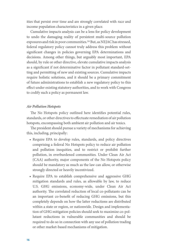ities that persist over time and are strongly correlated with race and income population characteristics in a given place.

Cumulative impacts analysis can be a lens for policy development to undo the damaging reality of persistent multi-source pollution exposures and risk in poor communities.<sup>50</sup> But, as NEJAC has stressed, federal regulatory policy cannot truly address this problem without significant changes in policies governing EPA determinations and decisions. Among other things, but arguably most important, EPA should, by rule or other directive, elevate cumulative impacts analysis as a significant if not determinative factor in pollutant standard-setting and permitting of new and existing sources. Cumulative impacts require holistic solutions, and it should be a primary commitment of future administrations to establish a new regulatory policy to this effect under existing statutory authorities, and to work with Congress to codify such a policy as permanent law.

#### *Air Pollution Hotspots*

The No Hotspots policy outlined here identifies potential rules, standards, or other directives to effectuate remediation of air pollution hotspots, encompassing both ambient air pollution and air toxics.

The president should pursue a variety of mechanisms for achieving this, including, principally:

- **•** Require EPA to develop rules, standards, and policy directives comprising a federal No Hotspots policy to reduce air pollution and pollution inequities, and to restrict or prohibit further pollution, in overburdened communities. Under Clean Air Act (CAA) authority, major components of the No Hotspots policy should be mandatory as much as the law can allow, or otherwise strongly directed or heavily incentivized.
- **•** Require EPA to establish comprehensive and aggressive GHG mitigation standards and rules, as allowable by law, to reduce U.S. GHG emissions, economy-wide, under Clean Air Act authority. The correlated reduction of local co-pollutants can be an important co-benefit of reducing GHG emissions, but this completely depends on how the latter reductions are distributed within a state or region, or nationwide. Design and implementation of GHG mitigation policies should seek to maximize co-pollutant reductions in vulnerable communities and should be required to do so in connection with any use of pollution trading or other market-based mechanisms of mitigation.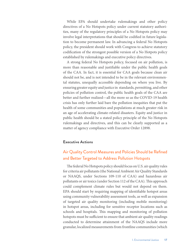While EPA should undertake rulemakings and other policy directives of a No Hotspots policy under current statutory authorities, many of the regulatory principles of a No Hotspots policy may involve legal interpretations that should be codified in future legislation to become permanent law. In advancing a federal No Hotspots policy, the president should work with Congress to achieve statutory codification of the strongest possible version of a No Hotpots policy established by rulemakings and executive policy directives.

A strong federal No Hotspots policy, focused on air pollution, is more than reasonable and justifiable under the public health goals of the CAA. In fact, it is essential for CAA goals because clean air should not be, and is not intended to be in the relevant environmental statutes, unequally accessible depending on where you live. By ensuring greater equity and justice in standards, permitting, and other policies of pollution control, the public health goals of the CAA are better and further realized—all the more so as the COVID-19 health crisis has only further laid bare the pollution inequities that put the health of some communities and populations at much greater risk in an age of accelerating climate-related disasters. Equity and justice in public health should be a stated policy principle of the No Hotspots rulemakings and directives, and this can be clearly supported as a matter of agency compliance with Executive Order 12898.

#### **Executive Actions**

# Air Quality Control Measures and Policies Should be Refined and Better Targeted to Address Pollution Hotspots

The federal No Hotspots policy should focus on U.S. air quality rules for criteria air pollutants (the National Ambient Air Quality Standards or NAAQS, under Sections 109-110 of CAA) and hazardous air pollutants or air toxics (under Section 112 of the CAA). This approach could complement climate rules but would not depend on them. EPA should start by requiring mapping of identifiable hotspot areas using community vulnerability assessment tools, as well as expansion of targeted air quality monitoring (including mobile monitoring) in hotspot areas, including for sensitive receptor locations such as schools and hospitals. This mapping and monitoring of pollution hotspots must be sufficient to ensure that ambient air quality readings conducted to determine attainment of the NAAQS include more granular, localized measurements from frontline communities (which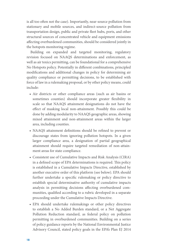is all too often not the case). Importantly, near-source pollution from stationary and mobile sources, and indirect-source pollution from transportation design, public and private fleet hubs, ports, and other structural sources of concentrated vehicle and equipment emissions affecting overburdened communities, should be considered jointly in the hotspots monitoring regime.

Building on expanded and targeted monitoring, regulatory revision focused on NAAQS determinations and enforcement, as well as air toxics permitting, can be foundational for a comprehensive No Hotspots policy. Potentially in different combinations, principled modifications and additional changes in policy for determining air quality compliance or permitting decisions, to be established with force of law in a rulemaking proposal, or by other policy means, could include:

- **•** Air districts or other compliance areas (such as air basins or sometimes counties) should incorporate greater flexibility in scale so that NAAQS attainment designations do not have the effect of masking local non-attainment. Possibly this could be done by adding modularity to NAAQS geographic areas, showing mixed attainment and non-attainment areas within the larger area, including counties.
- **•** NAAQS attainment definitions should be refined to prevent or discourage states from ignoring pollution hotspots. In a given larger compliance area, a designation of partial geographical attainment should require targeted remediation of non-attainment areas for state compliance.
- **•** Consistent use of Cumulative Impacts and Risk Analysis (CIRA) in a defined scope of EPA determinations is required. This policy is established in a Cumulative Impacts Directive, established by another executive order of this platform (see below). EPA should further undertake a specific rulemaking or policy directive to establish special determinative authority of cumulative impacts analysis in permitting decisions affecting overburdened communities, qualified according to a rubric developed in a separate proceeding under the Cumulative Impacts Directive.
- **•** EPA should undertake rulemakings or other policy directives to establish a No Added Burden standard, or a Net Aggregate Pollution Reduction standard, as federal policy on pollution permitting in overburdened communities. Building on a series of policy guidance reports by the National Environmental Justice Advisory Council, stated policy goals in the EPA's Plan EJ 2014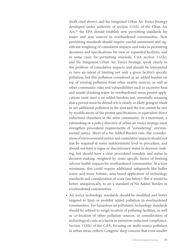(both cited above), and the Integrated Urban Air Toxics Strategy developed under authority of section 112(k) of the Clean Air Act,<sup>51</sup> the EPA should establish new permitting standards for major and area sources in overburdened communities. New permitting standards should require careful assessment and significant weighting of cumulative impacts and risks in permitting decisions and specifications for new or expanded facilities, and in some cases for permitting renewals. CAA section 112(k), and the Integrated Urban Air Toxics Strategy, speak clearly to the problem of cumulative impacts and should be interpreted to have an intent of limiting not only a given facility's specific pollution, but this pollution considered as an added burden on top of existing pollution from other nearby sources, as well as other community risks and vulnerabilities such as excessive heat and unsafe drinking water. In overburdened areas, permit applications must meet a no added burdens test, essentially meaning that a permit must be denied if it is clearly or likely going to result in net additional pollution in the area and the test cannot be met by modifications of the permit specifications or equivalent direct reductions elsewhere in the same community. At a minimum, a rulemaking or a policy directive of urban air toxics strategy must strengthen procedural requirements of "considering" environmental justice. Short of a No Added Burden rule, due consideration of environmental justice and cumulative impacts should not just be required at some indeterminate level in procedure, and should not have a vague or discretionary status in decision-making, but should have a clear procedural mandate and status in decision-making, weighted by some specific factor of limiting adverse health impacts for overburdened communities. At a bare minimum, this could require additional safeguards like buffer zones and more holistic, area-based application of technology standards and consideration of costs (see below). But it would be better, unequivocally, to set a standard of No Added Burden in overburdened communities.

**•** Air toxics technology standards should be modified and better targeted to limit or prohibit added pollution in overburdened communities. For hazardous air pollutants, technology standards should be refined to weigh location of polluting facilities, as well as co-location of other pollution sources, in consideration of technological costs as a factor in emissions reduction compliance. Section 112(k) of the CAA, focusing on multi-source pollution in urban areas, reflects Congress' deep concern that even smaller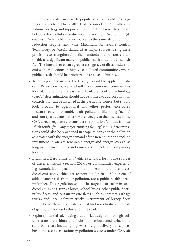sources, co-located in densely populated areas, could pose significant risks to public health. That section of the Act calls for a national strategy and support of state efforts to target these urban hotspots for pollution reduction. In addition, Section 112(d) enables EPA to hold smaller sources to the same strict pollution reduction requirements (the Maximum Achievable Control Technology, or MACT standard) as major sources. Using these provisions to strengthen air toxics standards in urban areas is justifiable as a significant matter of public health under the Clean Air Act. The intent is to ensure greater stringency of direct industrial emissions reductions in highly co-polluted communities, where public health should be prioritized over costs to business.

- **•** Technology standards for the NAAQS should be applied holistically. When new sources are built in overburdened communities located in attainment areas, Best Available Control Technology (BACT) determinations should not be limited to add-on pollution controls that can be installed at the particular source, but should look broadly to operational and other performance-based measures to control ambient air pollutants like smog (ozone) and soot (particulate matter). Moreover, given that the text of the CAA directs regulators to consider the pollution "emitted from *or which results from* any major emitting facility," BACT determinations could also be broadened in scope to consider the pollution associated with the energy demand of the new source and include investment in on-site renewable energy and energy storage, as long as the investments and emissions impacts are comparably localized.
- **•** Establish a Zero Emissions Vehicle standard for mobile sources of diesel emissions (Section 202). For communities experiencing cumulative impacts of pollution from multiple sources, diesel emissions, which are responsible for 70 to 80 percent of added cancer risk from air pollution, are a public health threat multiplier. This regulation should be targeted to cover in-state diesel emissions: transit buses, school buses, other public fleets, utility fleets, and certain private fleets such as contract garbage trucks and local delivery trucks. Retirement of legacy fleets should be accelerated, and states must find ways to share the costs of getting older diesel vehicles off the road.
- **•** Explore potential rulemaking to authorize designation of high-volume transit corridors and hubs in overburdened urban and suburban areas, including highways, freight delivery hubs, ports, bus depots, etc., as stationary pollution sources under CAA air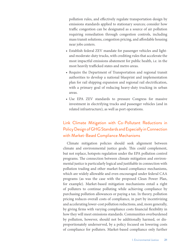pollution rules, and effectively regulate transportation design by emissions standards applied to stationary sources; consider how traffic congestion can be designated as a source of air pollution requiring remediation through congestion controls, including mass transit solutions, congestion pricing, and affordable housing near jobs centers.

- **•** Establish federal ZEV mandate for passenger vehicles and lightand moderate-duty trucks, with crediting rules that accelerate the most impactful emissions abatement for public health, i.e. in the most heavily trafficked states and metro areas.
- **•** Require the Department of Transportation and regional transit authorities to develop a national blueprint and implementation plan for rail shipping expansion and regional rail electrification, with a primary goal of reducing heavy-duty trucking in urban areas.
- **•** Use EPA ZEV standards to pressure Congress for massive investment in electrifying trucks and passenger vehicles (and in related infrastructure), as well as port operations.

# Link Climate Mitigation with Co-Pollutant Reductions in Policy Design of GHG Standards and Especially in Connection with Market-Based Compliance Mechanisms

Climate mitigation policies should seek alignment between climate and environmental justice goals. This could complement, but not replace, hotspots regulation under the EPA pollution control programs. The connection between climate mitigation and environmental justice is particularly logical and justifiable in connection with pollution trading and other market-based compliance mechanisms, which are widely allowable and even encouraged under federal CAA programs (as was the case with the proposed Clean Power Plan, for example). Market-based mitigation mechanisms entail a right of polluters to continue polluting while achieving compliance by purchasing pollution allowances or paying a tax. In theory, pollution pricing reduces overall costs of compliance, in part by incentivizing and accelerating lower-cost pollution reductions, and, more generally, by giving firms with varying compliance costs financial flexibility in how they will meet emissions standards. Communities overburdened by pollution, however, should not be additionally harmed, or disproportionately underserved, by a policy focused on lowering costs of compliance for polluters. Market-based compliance only further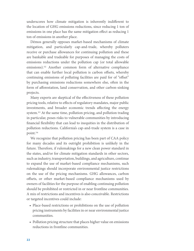underscores how climate mitigation is inherently indifferent to the location of GHG emissions reductions, since reducing 1 ton of emissions in one place has the same mitigation effect as reducing 1 ton of emissions in another place.

Dēmos generally opposes market-based mechanisms of climate mitigation, and particularly cap-and-trade, whereby polluters receive or purchase allowances for continuing pollution and these are bankable and tradeable for purposes of managing the costs of emissions reductions under the pollution cap (or total allowable emissions).52 Another common form of alternative compliance that can enable further local pollution is carbon offsets, whereby continuing emissions of polluting facilities are paid for of "offset" by purchasing emissions reductions somewhere else, often in the form of afforestation, land conservation, and other carbon-sinking projects.

Many experts are skeptical of the effectiveness of these pollution pricing tools, relative to effects of regulatory mandates, major public investments, and broader economic trends affecting the energy system.53 At the same time, pollution pricing, and pollution trading in particular, poses risks to vulnerable communities by introducing financial flexibility that can lead to inequities in the distribution of pollution reductions. California's cap-and-trade system is a case in point.54

We recognize that pollution pricing has been part of CAA policy for many decades and its outright prohibition is unlikely in the future. Therefore, if rulemakings for a new clean power standard in the states, and/or for climate mitigation standards in other sectors, such as industry, transportation, buildings, and agriculture, continue to expand the use of market-based compliance mechanisms, such rulemakings should incorporate environmental justice restrictions on the use of the pricing mechanisms. GHG allowances, carbon offsets, or other market-based compliance mechanisms used by owners of facilities for the purpose of enabling continuing pollution should be prohibited or restricted in or near frontline communities. A mix of restrictions and incentives is also conceivable. Restrictions or targeted incentives could include:

- **•** Place-based restrictions or prohibitions on the use of pollution pricing instruments by facilities in or near environmental justice communities.
- **•** Pollution pricing structure that places higher value on emissions reductions in frontline communities.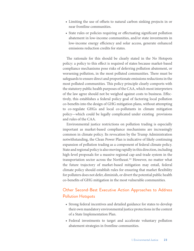- **•** Limiting the use of offsets to natural carbon sinking projects in or near frontline communities.
- **•** State rules or policies requiring or effectuating significant pollution abatement in low-income communities, and/or state investments in low-income energy efficiency and solar access, generate enhanced emissions reduction credits for states.

The rationale for this should be clearly stated in the No Hotspots policy: a policy to this effect is required of states because market-based compliance mechanisms pose risks of deferring pollution abatement, or worsening pollution, in the most polluted communities. There must be safeguards to ensure direct and proportionate emissions reductions in the most polluted communities. This policy principle clearly comports with the statutory public health purposes of the CAA, which most interpreters of the law agree should not be weighed against costs to business. Effectively, this establishes a federal policy goal of factoring local pollution co-benefits into the design of GHG mitigation plans, without attempting to co-regulate GHGs and local co-pollutants in climate mitigation policy—which could be legally complicated under existing provisions and rules of the CAA.

Environmental justice restrictions on pollution trading is especially important as market-based compliance mechanisms are increasingly common in climate policy. Its revocation by the Trump Administration notwithstanding, the Clean Power Plan is indicative of likely continuing expansion of pollution trading as a component of federal climate policy. State and regional policy is also moving rapidly in this direction, including high-level proposals for a massive regional cap-and-trade system in the transportation sector across the Northeast.55 However, no matter what the future trajectory of market-based mitigation may entail, federal climate policy should establish rules for ensuring that market flexibility for polluters does not defer, diminish, or divert the potential public health co-benefits of GHG mitigation in the most vulnerable communities.

# Other Second-Best Executive Action Approaches to Address Pollution Hotspots

- **•** Strong federal incentives and detailed guidance for states to develop their own mandatory environmental justice protections in the context of a State Implementation Plan.
- **•** Federal investments to target and accelerate voluntary pollution abatement strategies in frontline communities.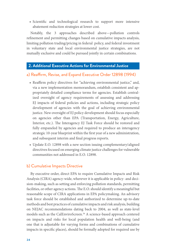**•** Scientific and technological research to support more intensive abatement reduction strategies at lower cost.

Notably, the 3 approaches described above—pollution controls refinement and permitting changes based on cumulative impacts analysis, limiting pollution trading/pricing in federal policy, and federal investment in voluntary state and local environmental justice strategies, are not mutually exclusive and could be pursued jointly in certain combinations.

### **2. Additional Executive Actions for Environmental Justice**

### a) Reaffirm, Revise, and Expand Executive Order 12898 (1994)

- **•** Reaffirm policy directives for "achieving environmental justice," and, via a new implementation memorandum, establish consistent and appropriately detailed compliance terms for agencies. Establish centralized oversight of agency requirements of assessing and addressing EJ impacts of federal policies and actions, including strategic policy development of agencies with the goal of achieving environmental justice. New oversight of EJ policy development should focus especially on agencies other than EPA (Transportation, Energy, Agriculture, Interior, etc.). The Interagency EJ Task Force should be restored and fully empaneled by agencies and required to produce an interagency strategic 10-year blueprint within the first year of a new administration, and subsequent interim and final progress reports.
- **•** Update E.O. 12898 with a new section issuing complementary/aligned directives focused on emerging climate justice challenges for vulnerable communities not addressed in E.O. 12898.

### b) Cumulative Impacts Directive

By executive order, direct EPA to require Cumulative Impacts and Risk Analysis (CIRA) agency-wide, wherever it is applicable in policy- and decision-making, such as setting and enforcing pollution standards, permitting facilities, or other agency actions. The E.O. should identify a meaningful but reasonable scope of CIRA applications in EPA policymaking. An advisory task force should be established and authorized to determine up-to-date methods and best practices of cumulative impacts and risk analysis, building on NEJAC recommendations dating back to 2004, as well as state-level models such as the CalEnviroScreen.<sup>56</sup> A science-based approach centered on impacts and risks for local population health and well-being (and one that is adjustable for varying forms and combinations of cumulative impacts in specific places), should be formally adopted for required use by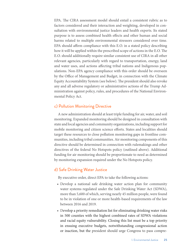EPA. The CIRA assessment model should entail a consistent rubric as to factors considered and their interaction and weighting, developed in consultation with environmental justice leaders and health experts. Its stated purpose is to assess combined health effects and other human and social harms related to multiple environmental stressors considered over time. EPA should affirm compliance with this E.O. in a stated policy describing how it will be applied within the prescribed scope of actions in the E.O. The E.O. should additionally require similar consistent use of CIRA in all other relevant agencies, particularly with regard to transportation, energy, land and water uses, and actions affecting tribal nations and Indigenous populations. Non-EPA agency compliance with this order should be overseen by the Office of Management and Budget, in connection with the Climate Equity Accountability System (see below). The president should also revoke any and all adverse regulatory or administrative actions of the Trump Administration against policy, rules, and procedures of the National Environmental Policy Act.

### c) Pollution Monitoring Directive

A new administration should at least triple funding for air, water, and soil monitoring. Expanded monitoring should be designed in consultation with state and local agencies and community organizations, including support for mobile monitoring and citizen science efforts. States and localities should target these resources to close pollution monitoring gaps in frontline communities, including tribal communities. Air monitoring components of this directive should be determined in connection with rulemakings and other directives of the federal No Hotspots policy (outlined above). Additional funding for air monitoring should be proportionate to need as determined by monitoring expansion required under the No Hotspots policy.

## d) Safe Drinking Water Justice

By executive order, direct EPA to take the following actions:

- **•** Develop a national safe drinking water action plan for community water systems regulated under the Safe Drinking Water Act (SDWA), more than 5,600 of which, serving nearly 45 million people, were found to be in violation of one or more health-based requirements of the law between 2016 and 2019.
- **•** Develop a priority remediation list for eliminating drinking water risks in 500 counties with the highest combined rates of SDWA violations and racial equity vulnerability. Closing this list must be a top priority in ensuing executive budgets, notwithstanding congressional action or inaction, but the president should urge Congress to pass compre-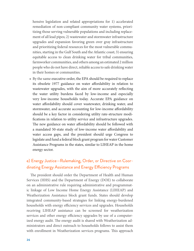hensive legislation and related appropriations for 1) accelerated remediation of non-compliant community water systems, prioritizing those serving vulnerable populations and including replacement of all lead pipes; 2) wastewater and stormwater infrastructure upgrades and expansion favoring green over gray infrastructure and prioritizing federal resources for the most vulnerable communities, starting in the Gulf South and the Atlantic coast; 3) ensuring equitable access to clean drinking water for tribal communities, farmworker communities, and others among an estimated 2 million people who do not have direct, reliable access to safe drinking water in their homes or communities.

**•** By the same executive order, the EPA should be required to replace its obsolete 1977 guidance on water affordability in relation to wastewater upgrades, with the aim of more accurately reflecting the water utility burdens faced by low-income and especially very low-income households today. Accurate EPA guidance on water affordability should cover wastewater, drinking water, and stormwater, and accurate accounting for low-income affordability should be a key factor in considering utility rate-structure modifications in relation to utility service and infrastructure upgrades. The new guidance on water affordability should be followed with a mandated 50-state study of low-income water affordability and water access gaps, and the president should urge Congress to legislate and fund a federal block grant program for water Customer Assistance Programs in the states, similar to LIHEAP in the home energy sector.

# e) Energy Justice—Rulemaking, Order, or Directive on Coordinating Energy Assistance and Energy Efficiency Programs

The president should order the Department of Health and Human Services (HHS) and the Department of Energy (DOE) to collaborate on an administrative rule requiring administrative and programmatic linkage of Low Income Home Energy Assistance (LIHEAP) and Weatherization Assistance block grant funds. States should develop integrated community-based strategies for linking energy-burdened households with energy efficiency services and upgrades. Households receiving LIHEAP assistance can be screened for weatherization services and other energy efficiency upgrades by use of a computerized energy audit. The energy audit is shared with Weatherization administrators and direct outreach to households follows to assist them with enrollment in Weatherization services programs. This approach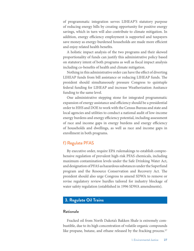of programmatic integration serves LIHEAP'S statutory purpose of reducing energy bills by creating opportunity for positive energy savings, which in turn will also contribute to climate mitigation. In addition, energy efficiency employment is supported and taxpayers save money as energy-burdened households are made more efficient and enjoy related health benefits.

A holistic impact analysis of the two programs and their skewed proportionality of funds can justify this administrative policy based on statutory intent of both programs as well as fiscal impact analysis including co-benefits of health and climate mitigation.

Nothing in this administrative order can have the effect of diverting LIHEAP funds from bill assistance or reducing LIHEAP funds. The president should simultaneously pressure Congress to quintuple federal funding for LIHEAP and increase Weatherization Assitance funding to the same level.

One administrative stepping stone for integrated programmatic expansion of energy assistance and efficiency should be a presidential order to HHS and DOE to work with the Census Bureau and state and local agencies and utilities to conduct a national audit of low-income energy burdens and energy efficiency potential, including assessment of race and income gaps in energy burdens and energy efficiency of households and dwellings, as well as race and income gaps in enrollment in both programs.

### f) Regulate PFAS

By executive order, require EPA rulemakings to establish comprehensive regulation of prevalent high-risk PFAS chemicals, including maximum contamination levels under the Safe Drinking Water Act, and designation of PFAS as hazardous substances under the Superfund program and the Resource Conservation and Recovery Act. The president should also urge Congress to amend SDWA to remove or revise regulatory review hurdles tailored for industry blockage of water safety regulation (established in 1996 SDWA amendments).

### **3. Regulate Oil Trains**

#### **Rationale**

Fracked oil from North Dakota's Bakken Shale is extremely combustible, due to its high concentration of volatile organic compounds like propane, butane, and ethane released by the fracking process.<sup>57</sup>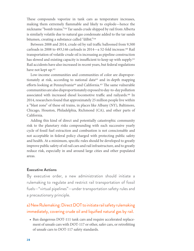These compounds vaporize in tank cars as temperature increases, making them extremely flammable and likely to explode—hence the nickname "bomb trains."58 Tar sands crude shipped by rail from Alberta is similarly volatile due to natural gas condensate added to the tar sands bitumen, creating a substance called "dilbit."59

Between 2008 and 2014, crude oil by rail traffic ballooned from 9,500 carloads in 2008 to 493,146 carloads in 2014—a 52-fold increase.60 Rail transportation of volatile crude oil is increasing as pipeline construction has slowed and existing capacity is insufficient to keep up with supply.<sup>61</sup> Rail accidents have also increased in recent years, but federal regulations have not kept up.<sup>62</sup>

Low-income communities and communities of color are disproportionately at risk, according to national data<sup>63</sup> and in-depth mapping efforts looking at Pennsylvania<sup>64</sup> and California.<sup>65</sup> The same vulnerable communities are also disproportionately exposed to day-to-day pollution associated with increased diesel locomotive traffic and railyards.<sup>66</sup> In 2014, researchers found that approximately 25 million people live within a "blast zone" of these oil trains, in places like Albany (NY), Baltimore, Chicago, Houston, Philadelphia, Richmond (CA), and other parts of California.

Adding this kind of direct and potentially catastrophic community risk to the planetary risks compounding with each successive yearly cycle of fossil fuel extraction and combustion is not conscionable and not acceptable in federal policy charged with protecting public safety and health. At a minimum, specific rules should be developed to greatly improve public safety of oil rail cars and rail infrastructure, and to greatly reduce risk, especially in and around large cities and other populated areas.

#### **Executive Actions**

By executive order, a new administration should initiate a rulemaking to regulate and restrict rail transportation of fossil fuels—"virtual pipelines"—under transportation safety rules and a precautionary principle.

# a) New Rulemaking: Direct DOT to initiate rail safety rulemaking immediately, covering crude oil and liquified natural gas by rail.

**•** Ban dangerous DOT-111 tank cars and require accelerated replacement of unsafe cars with DOT-117 or other, safer cars, or retrofitting of unsafe cars to DOT-117 safety standards.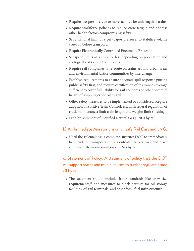- **•** Require two-person crews or more, tailored for unit length of trains.
- **•** Require workforce policies to reduce crew fatigue and address other health factors compromising safety.
- **•** Set a national limit of 9 psi (vapor pressure) to stabilize volatile cruel oil before transport.
- **•** Require Electronically Controlled Pneumatic Brakes.
- **•** Set speed limits at 30 mph or less depending on population and ecological risks along train routes.
- **•** Require rail companies to re-route oil trains around urban areas and environmental justice communities by interchange.
- **•** Establish requirements to ensure adequate spill response putting public safety first, and require certification of insurance coverage sufficient to cover full liability for rail accidents or other potential harms of shipping crude oil by rail.
- **•** Other safety measures to be implemented or considered: Require adoption of Positive Train Control; establish federal regulation of track maintenance; limit train length and weight; limit sloshing.
- **•** Prohibit shipment of Liquified Natural Gas (LNG) by rail.

### b) An Immediate Moratorium on Unsafe Rail Cars and LNG.

**•** Until the rulemaking is complete, instruct DOT to immediately ban crude oil transportation via outdated tanker cars, and place an immediate moratorium on all LNG by rail.

# c) Statement of Policy: A statement of policy that the DOT will support states and municipalities to further regulate crude oil by rail.

**•** The statement should include: labor standards like crew size requirements,67 and measures to block permits for oil storage facilities, oil rail terminals, and other fossil fuel infrastructure.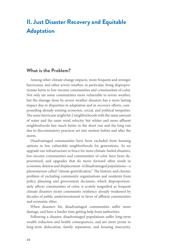# <span id="page-31-0"></span>**II. Just Disaster Recovery and Equitable Adaptation**

## **What is the Problem?**

Among other climate change impacts, more frequent and stronger hurricanes, and other severe weather, in particular, bring disproportionate harm to low-income communities and communities of color. Not only are some communities more vulnerable to severe weather, but the damage done by severe weather disasters has a more lasting impact due to disparities in adaptation and in recovery efforts, compounding already existing economic, social, and political inequities. The same hurricane might hit 2 neighborhoods with the same amount of water and the same wind velocity, but whiter and more affluent neighborhoods fare much better in the short run and the long run due to discriminatory practices set into motion before and after the storm.

Disadvantaged communities have been excluded from housing options in less vulnerable neighborhoods for generations. As we upgrade our infrastructure to brace for more climate-fueled disasters, low-income communities and communities of color have been deprioritized, and upgrades that do move forward often result in economic distress and displacement of disadvantaged populations—a phenomenon called "climate gentrification." The historic and chronic problem of excluding community organizations and residents from policy planning and government decisions, which disproportionately affects communities of color, is acutely magnified as frequent climate disasters strain community resiliency already weakened by decades of public underinvestment in favor of affluent communities and economic elites.

When disasters hit, disadvantaged communities suffer more damage, and have a harder time getting help from authorities.

Following a disaster, disadvantaged populations suffer long-term wealth reduction and health consequences, and are more prone to long-term dislocation, family separation, and housing insecurity.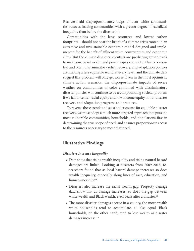Recovery aid disproportionately helps affluent white communities recover, leaving communities with a greater degree of racialized inequality than before the disaster hit.

Communities with the least resources—and lowest carbon footprints—should not bear the brunt of a climate crisis rooted in an extractive and unsustainable economic model designed and implemented for the benefit of affluent white communities and economic elites. But the climate disasters scientists are predicting are on track to make our racial wealth and power gaps even wider. Our race-neutral and often discriminatory relief, recovery, and adaptation policies are making a less equitable world at every level, and the climate data suggest this problem will only get worse. Even in the most optimistic climate action scenarios, the disproportionate impacts of severe weather on communities of color combined with discriminatory disaster policies will continue to be a compounding societal problem if we fail to center racial equity and low-income equity in our disaster recovery and adaptation programs and practices.

To reverse these trends and set a better course for equitable disaster recovery, we must adopt a much more targeted approach that puts the most vulnerable communities, households, and populations first in determining the true scope of need, and ensures proportionate access to the resources necessary to meet that need.

# **Illustrative Findings**

### *Disasters Increase Inequality*

- **•** Data show that rising wealth inequality and rising natural hazard damages are linked. Looking at disasters from 2009-2013, researchers found that as local hazard damage increases so does wealth inequality, especially along lines of race, education, and homeownership.<sup>68</sup>
- **•** Disasters also increase the racial wealth gap. Property damage data show that as damage increases, so does the gap between white wealth and Black wealth, even years after a disaster.<sup>69</sup>
- **•** The more disaster damages accrue in a county, the more wealth white households tend to accumulate, all else equal. Black households, on the other hand, tend to lose wealth as disaster damages increase.70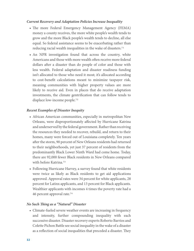#### *Current Recovery and Adaptation Policies Increase Inequality*

- **•** The more Federal Emergency Management Agency (FEMA) money a county receives, the more white people's wealth tends to grow and the more Black people's wealth tends to decline, all else equal. So federal assistance seems to be exacerbating rather than reducing racial wealth inequalities in the wake of disasters.71
- **•** An NPR investigation found that across the country, white Americans and those with more wealth often receive more federal dollars after a disaster than do people of color and those with less wealth. Federal adaptation and disaster readiness funding isn't allocated to those who need it most; it's allocated according to cost-benefit calculations meant to minimize taxpayer risk, meaning communities with higher property values are more likely to receive aid. Even in places that do receive adaptation investments, the climate gentrification that can follow tends to displace low-income people.72

#### *Recent Examples of Disaster Inequity*

- **•** African American communities, especially in metropolitan New Orleans, were disproportionately affected by Hurricane Katrina and underserved by the federal government. Rather than receiving the resources they needed to recover, rebuild, and return to their homes, many were forced out of Louisiana completely. Ten years after the storm, 90 percent of New Orleans residents had returned to their neighborhoods, yet just 37 percent of residents from the predominantly Black Lower Ninth Ward had come home. Today, there are 92,000 fewer Black residents in New Orleans compared with before Katrina.73
- **•** Following Hurricane Harvey, a survey found that white residents were twice as likely as Black residents to get aid applications approved. Approval rates were 34 percent for white applicants, 28 percent for Latinx applicants, and 13 percent for Black applicants. Wealthier applicants with incomes 4 times the poverty rate had a 46 percent approval rate.74

#### *No Such Thing as a "Natural" Disaster*

**•** Climate-fueled severe weather events are increasing in frequency and intensity, further compounding inequality with each successive disaster. Disaster recovery experts Roberto Barrios and Colette Pichon Battle see social inequality in the wake of a disaster as a reflection of social inequalities that preceded a disaster. They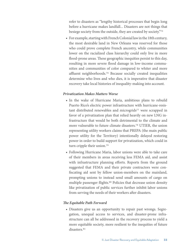refer to disasters as "lengthy historical processes that begin long before a hurricane makes landfall... Disasters are not things that besiege society from the outside, they are created by society."75

**•** For example, starting with French Colonial law in the 18th century, the most desirable land in New Orleans was reserved for those who could prove complete French ancestry, while communities lower on the racialized class hierarchy could only live in more flood-prone areas. These geographic inequities persist to this day, resulting in more severe flood damage in low-income communities and communities of color compared to whiter and more affluent neighborhoods.76 Because socially created inequalities determine who lives and who dies, it is imperative that disaster recovery take local histories of inequality-making into account.

#### *Privatization Makes Matters Worse*

- **•** In the wake of Hurricane Maria, ambitious plans to rebuild Puerto Rico's electric power infrastructure with hurricane-resistant distributed renewables and microgrids<sup>77</sup> were scrapped in favor of a privatization plan that relied heavily on new LNG infrastructure that would be both detrimental to the climate and more vulnerable to future climate disasters.78 UTIER, the union representing utility workers claims that PREPA (the main public power utility for the Territory) intentionally delayed restoring power in order to build support for privatization, which could in turn cripple their union.<sup>79</sup>
- **•** Following Hurricane Maria, labor unions were able to take care of their members in areas receiving less FEMA aid, and assist with infrastructure planning efforts. Reports from the ground suggested that FEMA and their private contractors were confiscating aid sent by fellow union-members on the mainland, prompting unions to instead send small amounts of cargo on multiple passenger flights.<sup>80</sup> Policies that decrease union density like privatization of public services further inhibit labor unions from serving the needs of their workers after disasters.

#### *The Equitable Path Forward*

**•** Disasters give us an opportunity to repair past wrongs. Segregation, unequal access to services, and disaster-prone infrastructure can all be addressed in the recovery process to yield a more equitable society, more resilient to the inequities of future disasters.<sup>81</sup>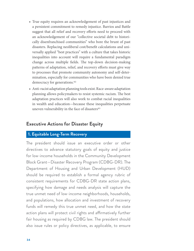- **•** True equity requires an acknowledgement of past injustices and a persistent commitment to remedy injustice. Barrios and Battle suggest that all relief and recovery efforts need to proceed with an acknowledgement of our "collective societal debt to historically disenfranchised communities" who bore the brunt of past disasters. Replacing neoliberal cost/benefit calculations and universally applied "best practices" with a culture that takes historic inequalities into account will require a fundamental paradigm change across multiple fields. The top-down decision-making patterns of adaptation, relief, and recovery efforts must give way to processes that promote community autonomy and self-determination, especially for communities who have been denied true democracy for generations.82
- **•** Anti-racist adaptation planning tools exist. Race-aware adaptation planning allows policymakers to resist systemic racism. The best adaptation practices will also work to combat racial inequalities in wealth and education—because these inequalities perpetuate uneven vulnerability in the face of disasters<sup>83</sup>

# **Executive Actions for Disaster Equity**

## **1. Equitable Long-Term Recovery**

The president should issue an executive order or other directives to advance statutory goals of equity and justice for low-income households in the Community Development Block Grant—Disaster Recovery Program (CDBG-DR). The Department of Housing and Urban Development (HUD) should be required to establish a formal agency rubric of consistent requirements for CDBG-DR state action plans, specifying how damage and needs analysis will capture the true unmet need of low-income neighborhoods, households, and populations, how allocation and investment of recovery funds will remedy this true unmet need, and how the state action plans will protect civil rights and affirmatively further fair housing as required by CDBG law. The president should also issue rules or policy directives, as applicable, to ensure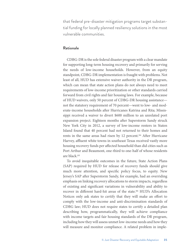that federal pre-disaster mitigation programs target substantial funding for locally planned resiliency solutions in the most vulnerable communities.

#### **Rationale**

CDBG-DR is the sole federal disaster program with a clear mandate for supporting long-term housing recovery and primarily for serving the needs of low-income households. However, from an equity standpoint, CDBG-DR implementation is fraught with problems. Not least of all, HUD has extensive waiver authority in the DR program, which can mean that state action plans do not always need to meet requirements of low-income prioritization or other standards carried forward from civil rights and fair housing laws. For example, because of HUD waivers, only 50 percent of CDBG-DR housing assistance not the statutory requirement of 70 percent—went to low- and moderate-income households after Hurricanes Katrina and Rita; Mississippi received a waiver to divert \$600 million to an unrelated port expansion project. Eighteen months after Superstorm Sandy struck New York City in 2012, a survey of low-income renters in Staten Island found that 40 percent had not returned to their homes and rents in the same areas had risen by 12 percent.<sup>84</sup> After Hurricane Harvey, affluent white towns in southeast Texas received vastly more housing recovery funds per affected household than did cities such as Port Arthur and Beaumont, one-third to one-half of whose residents are black.85

To avoid inequitable outcomes in the future, State Action Plans (SAP) required by HUD for release of recovery funds should give much more attention, and specific policy focus, to equity. New Jersey's SAP after Superstorm Sandy, for example, had an overriding emphasis on linking recovery allocations to storm impacts, regardless of existing and significant variations in vulnerability and ability to recover in different hard-hit areas of the state.<sup>86</sup> HUD's Allocation Notices only ask states to certify that they will make an effort to comply with the low-income and anti-discrimination standards of CDBG law; HUD does not require states to certify a detailed plan describing how, programmatically, they will achieve compliance with income targets and fair housing standards of the DR program, including how they will assess unmet low-income needs and how they will measure and monitor compliance. A related problem in imple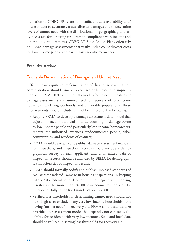mentation of CDBG-DR relates to insufficient data availability and/ or use of data to accurately assess disaster damages and to determine levels of unmet need with the distributional or geographic granularity necessary for targeting resources in compliance with income and other equity requirements. CDBG-DR State Action Plans often rely on FEMA damage assessments that vastly under-count disaster costs for low-income people and particularly non-homeowners.

#### **Executive Actions**

#### Equitable Determination of Damages and Unmet Need

To improve equitable implementation of disaster recovery, a new administration should issue an executive order requiring improvements in FEMA, HUD, and SBA data models for determining disaster damage assessments and unmet need for recovery of low-income households and neighborhoods, and vulnerable populations. These improvements should include, but not be limited to, the following:

- **•** Require FEMA to develop a damage assessment data model that adjusts for factors that lead to undercounting of damage borne by low-income people and particularly low-income homeowners, renters, the unhoused, evacuees, undocumented people, tribal communities, and residents of *colonias*;
- **•** FEMA should be required to publish damage assessment manuals for inspectors, and inspection records should include a demographical survey of each applicant, and anonymized data of inspection records should be analyzed by FEMA for demographic characteristics of inspection results.
- **•** FEMA should formally codify and publish unbiased standards of No Disaster Related Damage in housing inspections, in keeping with a 2017 federal court decision finding illegal bias in denying disaster aid to more than 24,000 low-income residents hit by Hurricane Dolly in the Rio Grande Valley in 2008.
- **•** Verified loss thresholds for determining unmet need should not be so high as to exclude many very low-income households from having "unmet need" for recovery aid. FEMA should standardize a verified loss assessment model that expands, not contracts, eligibility for residents with very low incomes. State and local data should be utilized in setting loss thresholds for recovery aid.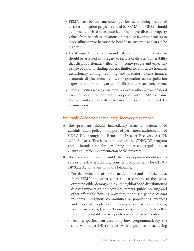- **•** FEMA cost-benefit methodology for determining value of disaster mitigation projects funded by FEMA and CDBG should be formally revised to exclude factoring of pre-disaster property values from benefit calculations—a practice favoring projects in more affluent areas because the benefit-to-cost ratio appears to be higher.
- **•** Local impacts of disaster—and calculations of unmet need should be assessed with regard to factors of disaster vulnerability that disproportionately affect low-income people and especially people of color, including but not limited to: affordable housing, exclusionary zoning, redlining and predatory home finance, economic displacement trends, transportation access, pollution exposure, and proximity to toxic facilities and waste management.
- **•** States and cities seeking assistance, as well as other relevant federal agencies, should be required to cooperate with FEMA to ensure accurate and equitable damage assessments and unmet need determinations.

## Equitable Allocation of Housing Recovery Assistance

- A. The president should immediately issue a statement of administration policy in support of permanent authorization of CDBG-DR through the Reforming Disaster Recovery Act (H. 3702; S. 2301). This legislation codifies the CDBG-DR program and is foundational for developing enforceable regulations to ensure equitable implementation of the program.
- B. The Secretary of Housing and Urban Development should issue a rule or directive establishing consistent requirements for CDBG-DR State Action Plans to do the following:
	- **•** For determination of unmet need, utilize and publicize data, from FEMA and other sources, that capture, to the fullest extent possible, demographic and neighborhood distribution of disaster impacts on homeowners, renters, public housing and other affordable housing providers, unhoused people, *colonia* residents, Indigenous communities or populations, evacuees and relocated people, as well as impacts on schooling access, health care access, transportation access, and other factors that result in inequitable recovery outcomes after large disasters.
	- **•** Detail a specific plan describing how, programmatically, the state will target DR resources with a purpose of achieving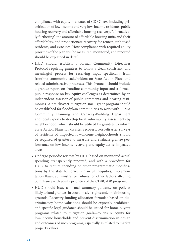compliance with equity mandates of CDBG law, including prioritization of low-income and very low-income residents, public housing recovery and affordable housing recovery, "affirmatively furthering" the amount of affordable housing units and their affordability, and proportionate recovery for renters, unhoused residents, and evacuees. How compliance with required equity priorities of the plan will be measured, monitored, and reported should be explained in detail.

- **•** HUD should establish a formal Community Directives Protocol requiring grantees to follow a clear, consistent, and meaningful process for receiving input specifically from frontline community stakeholders on State Action Plans and related administrative processes. This Protocol should include a grantee report on frontline community input and a formal, public response on key equity challenges as determined by an independent assessor of public comments and hearing testimonies. A pre-disaster mitigation small grant program should be established for floodplain communities to work with FEMA Community Planning and Capacity-Building Department and local experts to develop local vulnerability assessments by neighborhood, which should be utilized by grantees to inform State Action Plans for disaster recovery. Post-disaster surveys of residents of impacted low-income neighborhoods should be required of grantees to measure and evaluate grantee performance on low-income recovery and equity across impacted areas.
- **•** Undergo periodic reviews by HUD based on monitored actual spending, transparently reported, and with a procedure for HUD to require spending or other programmatic modifications by the state to correct unlawful inequities, implementation flaws, administrative failures, or other factors affecting compliance with equity priorities of the CDBG-DR program.
- **•** HUD should issue a formal summary guidance on policies likely to land grantees in court on civil rights and/or fair housing grounds. Recovery funding allocation formulae based on discriminatory home valuations should be expressly prohibited, and specific legal guidance should be issued for home buyout programs related to mitigation goals—to ensure equity for low-income households and prevent discrimination in design and outcomes of such programs, especially as related to market property values.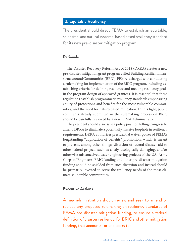## **2. Equitable Resiliency**

The president should direct FEMA to establish an equitable, scientific, and natural systems-based based resiliency standard for its new pre-disaster mitigation program.

#### **Rationale**

The Disaster Recovery Reform Act of 2018 (DRRA) creates a new pre-disaster mitigation grant program called Building Resilient Infrastructure and Communities (BRIC). FEMA is charged with conducting a rulemaking for implementation of the BRIC program, including establishing criteria for defining resilience and meeting resiliency goals in the program design of approved grantees. It is essential that these regulations establish programmatic resiliency standards emphasizing equity of protections and benefits for the most vulnerable communities, and the need for nature-based mitigation. In this light, public comments already submitted in the rulemaking process on BRIC should be carefully reviewed by a new FEMA Administrator.

The president should also issue a policy position telling Congress to amend DRRA to eliminate a potentially massive loophole in resiliency requirements. DRRA authorizes presidential waiver power of FEMA's longstanding "duplication of benefits" prohibition, which is meant to prevent, among other things, diversion of federal disaster aid to other federal projects such as costly, ecologically damaging, and/or otherwise misconceived water engineering projects of the U.S. Army Corps of Engineers. BRIC funding and other pre-disaster mitigation funding should be shielded from such diversion and instead should be primarily invested to serve the resiliency needs of the most climate-vulnerable communities.

#### **Executive Actions**

A new administration should review and seek to amend or replace any proposed rulemaking on resiliency standards of FEMA pre-disaster mitigation funding, to ensure a federal definition of disaster resiliency, for BRIC and other mitigation funding, that accounts for and seeks to: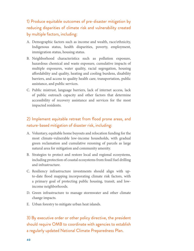1) Produce equitable outcomes of pre-disaster mitigation by reducing disparities of climate risk and vulnerability created by multiple factors, including:

- A. Demographic factors such as income and wealth, race/ethnicity, Indigenous status, health disparities, poverty, employment, immigration status, housing status.
- B. Neighborhood characteristics such as pollution exposure, hazardous chemical and waste exposure, cumulative impacts of multiple exposures, water quality, racial segregation, housing affordability and quality, heating and cooling burdens, disability barriers, and access to quality health care, transportation, public assistance, and public services.
- C. Public mistrust, language barriers, lack of internet access, lack of public outreach capacity and other factors that determine accessibility of recovery assistance and services for the most impacted residents.

## 2) Implement equitable retreat from flood prone areas, and nature-based mitigation of disaster risk, including:

- A. Voluntary, equitable home buyouts and relocation funding for the most climate-vulnerable low-income households, with gradual green reclamation and cumulative rezoning of parcels as large natural area for mitigation and community amenity.
- B. Strategies to protect and restore local and regional ecosystems, including protection of coastal ecosystems from fossil fuel drilling and infrastructure.
- C. Resiliency infrastructure investments should align with upto-date flood mapping incorporating climate risk factors, with a primary goal of protecting public housing, transit, and lowincome neighborhoods.
- D. Green infrastructure to manage stormwater and other climate change impacts.
- E. Urban forestry to mitigate urban heat islands.

3) By executive order or other policy directive, the president should require OMB to coordinate with agencies to establish a regularly updated National Climate Preparedness Plan.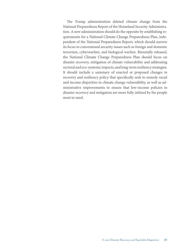The Trump administration deleted climate change from the National Preparedness Report of the Homeland Security Administration. A new administration should do the opposite by establishing requirements for a National Climate Change Preparedness Plan, independent of the National Preparedness Report, which should narrow its focus to conventional security issues such as foreign and domestic terrorism, cyberwarfare, and biological warfare. Biennially released, the National Climate Change Preparedness Plan should focus on disaster recovery, mitigation of climate vulnerability and addressing sectoral and eco-systemic impacts, and long-term resiliency strategies. It should include a summary of enacted or proposed changes in recovery and resiliency policy that specifically seek to remedy racial and income disparities in climate change vulnerability, as well as administrative improvements to ensure that low-income policies in disaster recovery and mitigation are more fully utilized by the people most in need.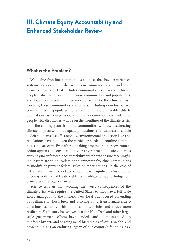## **III. Climate Equity Accountability and Enhanced Stakeholder Review**

## **What is the Problem?**

We define frontline communities as those that have experienced systemic socioeconomic disparities, environmental racism, and other forms of injustice. That includes communities of Black and brown people, tribal nations and Indigenous communities and populations, and low-income communities more broadly. As the climate crisis worsens, these communities and others, including deindustrialized communities, depopulated rural communities, vulnerable elderly populations, unhoused populations, undocumented residents, and people with disabilities, will be on the frontlines of the climate crisis.

In the coming years frontline communities will face accelerating climate impacts with inadequate protections and resources available to defend themselves. Historically, environmental protection laws and regulations have not taken the particular needs of frontline communities into account. Even if a rulemaking process or other government action appears to consider equity or environmental justice, there is currently no enforceable accountability, whether to ensure meaningful input from frontline leaders or to empower frontline communities to modify or prevent federal rules or other actions. In the case of tribal nations, such lack of accountability is magnified by historic and ongoing violation of treaty rights, trust obligations, and Indigenous principles of self-governance.

Science tells us that avoiding the worst consequences of the climate crisis will require the United States to mobilize a full-scale effort analogous to the historic New Deal but focused on ending our reliance on fossil fuels and building out a transformative, zero emissions economy with millions of new jobs and much more resiliency. Yet history has shown that the New Deal and other largescale government efforts have tended—and often intended—to reinforce historic and ongoing racial hierarchies of status, wealth, and power.87 This is an enduring legacy of our country's founding as a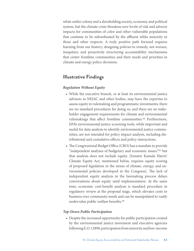white settler colony and a slaveholding society, economy, and political system, but the climate crisis threatens new levels of risk and adverse impacts for communities of color and other vulnerable populations that continue to be subordinated by the affluent white minority in these and other respects. A truly positive path forward requires learning from our history; designing policies to remedy, not worsen, inequities; and proactively structuring accountability mechanisms that center frontline communities and their needs and priorities in climate and energy policy decisions.

## **Illustrative Findings**

#### *Regulation Without Equity*

- **•** While the executive branch, or at least its environmental justice advisors in NEJAC and other bodies, may have the expertise to assess equity in rulemaking and programmatic investments, there are no standard procedures for doing so, and there are no stakeholder engagement requirements for climate and environmental rulemakings that affect frontline communities.<sup>88</sup> Furthermore, EPA's environmental justice screening tools, while important and useful for data analysis to identify environmental justice communities, are not intended for policy impact analysis, including distributional and cumulative effects and policy interactions.
- **•** The Congressional Budget Office (CBO) has a mandate to provide "independent analyses of budgetary and economic issues,"89 but that analysis does not include equity. [Senator Kamala Harris' Climate Equity Act, mentioned below, requires equity scoring of proposed legislation in the nexus of climate, energy, and environmental policies developed in the Congress]. The lack of independent equity analysis in the lawmaking process delays conversations about equity until implementation. At the same time, economic cost-benefit analysis is standard procedure in regulatory review at the proposal stage, which elevates costs to business over community needs and can be manipulated to vastly undervalue public welfare benefits.90

#### *Top-Down Public Participation*

**•** Despite the increased opportunity for public participation created by the environmental justice movement and executive agencies following E.O. 12898, participation from minority and low-income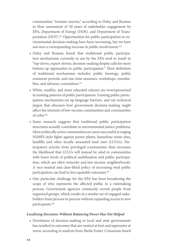communities "remains uneven," according to Daley and Reames in their assessment of 20 years of stakeholder engagement by EPA, Department of Energy (DOE), and Department of Transportation (DOT).<sup>91</sup> Opportunities for public participation in environmental decision-making have been increasing, but we have not seen a corresponding increase in public involvement.<sup>92</sup>

- **•** Daley and Reames found that traditional public participation mechanisms currently in use by the EPA tend to result in "top-down, expert-driven, decision-making despite calls for more bottom-up approaches to public participation." Their definition of traditional mechanisms includes: public hearings, public comment periods, and one-time seminars, workshops, roundtables, and advisory committees.<sup>93</sup>
- **•** White, wealthy, and more educated citizens are overrepresented in existing patterns of public participation. Existing public participation mechanisms set up language barriers, and use technical jargon that obscures how government decision-making might affect the interests of low-income communities and communities of color.94
- **•** Some research suggests that traditional public participation structures actually contribute to environmental justice problems. More politically active communities are more successful at waging NIMBY-style fights against power plants, hazardous waste sites, landfills and other locally unwanted land uses (LULUs). Participatory activity from privileged communities then increases the likelihood that LULUs will instead be sited in communities with lower levels of political mobilization and public participation, which are often minority and low-income neighborhoods. A race-neutral and class-blind policy of increasing total public participation can lead to less equitable outcomes.95
- **•** One particular challenge for the EPA has been broadening the scope of who represents the affected public in a rulemaking process. Government agencies commonly recruit people from organized groups, which results in a similar set of engaged stakeholders from process to process without expanding access to new participants.96

#### *Localizing Decisions Without Balancing Power Has Not Helped*

**•** Devolution of decision-making to local and state governments has resulted in outcomes that are neutral at best and oppressive at worst, according to analysis from Sheila Foster. Consensus-based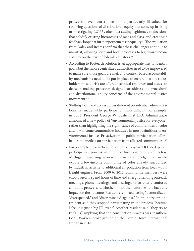processes have been shown to be particularly ill-suited for resolving questions of distributional equity that come up in siting or investigating LULUs, often just adding legitimacy to decisions that solidify existing hierarchies of race and class, and creating a feedback loop that further perpetuates inequality.97 The evaluation from Daley and Reams confirm that these challenges continue to manifest, allowing state and local processes to legitimize inconsistency on the part of federal regulators.<sup>98</sup>

- **•** According to Foster, devolution is an appropriate way to identify goals, but then more centralized authorities need to be empowered to make sure those goals are met, and context-based accountability mechanisms need to be put in place to ensure that the stakeholders most at risk are offered technical resources and access to decision-making processes designed to address the procedural and distributional equity concerns of the environmental justice movement.99
- **•** Shifting focus and access across different presidential administrations has made public participation more difficult. For example, in 2001, President George W. Bush's first EPA Administrator announced a new policy of "environmental justice for everyone," rather than highlighting the significance of communities of color and low-income communities included in most definitions of environmental justice. Privatization of public participation efforts has a similar effect on participation from affected communities.<sup>100</sup>
- **•** For example, researchers followed a 12-year DOT-led public participation process in the frontline community of Delray, Michigan, involving a new international bridge that would expose a low-income community of color already surrounded by industrial activity to additional air pollution from heavy-duty freight engines. From 2000 to 2012, community members were encouraged to spend hours of time and energy attending outreach meetings, phone meetings, and hearings, often utterly confused about the process and whether or not their efforts would have any impact on the outcome. Residents reported feeling "demoralized," "disrespected," and "discriminated against." In an interview, one resident said they stopped participating in the process "because I feel it is just a big PR event." Another resident said "they try to trick us," implying that the consultation process was inauthentic.101 Workers broke ground on the Gordie Howe International Bridge in 2018.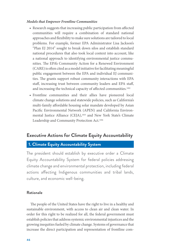#### *Models that Empower Frontline Communities*

- **•** Research suggests that increasing public participation from affected communities will require a combination of standard national approaches and flexibility to make sure solutions are tailored to local problems. For example, former EPA Administrator Lisa Jackson's "Plan EJ 2014" sought to break down silos and establish standard national procedures that also took local context into account, like a national approach to identifying environmental justice communities. The EPA's Community Action for a Renewed Environment (CARE) is often cited as a model initiative for facilitating meaningful public engagement between the EPA and individual EJ communities. The grants support robust community interactions with EPA staff, increasing trust between community leaders and EPA staff, and increasing the technical capacity of affected communities.<sup>102</sup>
- **•** Frontline communities and their allies have pioneered local climate change solutions and statewide policies, such as California's multi-family affordable housing solar mandate developed by Asian Pacific Environmental Network (APEN) and California Environmental Justice Alliance (CEJA),<sup>103</sup> and New York State's Climate Leadership and Community Protection Act.104

## **Executive Actions for Climate Equity Accountability**

## **1. Climate Equity Accountability System**

The president should establish by executive order a Climate Equity Accountability System for federal policies addressing climate change and environmental protection, including federal actions affecting Indigenous communities and tribal lands, culture, and economic well-being.

#### **Rationale**

The people of the United States have the right to live in a healthy and sustainable environment, with access to clean air and clean water. In order for this right to be realized for all, the federal government must establish policies that address systemic environmental injustices and the growing inequities fueled by climate change. Systems of governance that increase the direct participation and representation of frontline com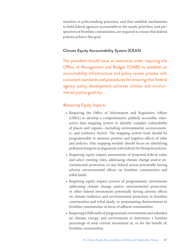munities in policymaking processes, and that establish mechanisms to hold federal agencies accountable to the needs, priorities, and perspectives of frontline communities, are required to ensure that federal policies achieve this goal.

## **Climate Equity Accountability System (CEAS)**

The president should issue an executive order requiring the Office of Management and Budget (OMB) to establish an accountability infrastructure and policy review process with consistent standards and procedures for ensuring that federal agency policy development achieves climate and environmental justice goals by:

## *Measuring Equity Impacts*

- **•** Requiring the Office of Information and Regulatory Affairs (OIRA) to develop a comprehensive, publicly accessible, interactive data mapping system to identify complex vulnerability of places and regions—including environmental, socioeconomic, and resiliency factors. The mapping system tools should be programmable to measure positive and negative effects of rules and policies. One mapping module should focus on identifying pollution hotspots in alignment with federal No Hotspots policies.
- **•** Requiring equity impact assessments of proposed federal rules, and select existing rules, addressing climate change and/or environmental protection, or any federal action potentially having adverse environmental effects on frontline communities and tribal lands.
- **•** Requiring equity impact reviews of programmatic investments addressing climate change and/or environmental protection, or other federal investments potentially having adverse effects on climate resilience and environmental protection in frontline communities and tribal lands, or perpetuating disinvestment in frontline communities in favor of affluent communities.
- **•** Requiring OMB audit of programmatic investments and subsidies on climate, energy, and environment to determine a baseline percentage of total current investment in, or for the benefit of, frontline communities.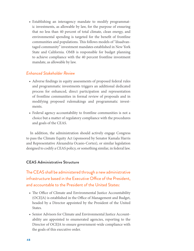**•** Establishing an interagency mandate to modify programmatic investments, as allowable by law, for the purpose of ensuring that no less than 40 percent of total climate, clean energy, and environmental spending is targeted for the benefit of frontline communities and populations. This follows models of "disadvantaged community" investment mandates established in New York State and California. OMB is responsible for budget planning to achieve compliance with the 40 percent frontline investment mandate, as allowable by law.

#### *Enhanced Stakeholder Review*

- **•** Adverse findings in equity assessments of proposed federal rules and programmatic investments triggers an additional dedicated process for enhanced, direct participation and representation of frontline communities in formal review of proposals and in modifying proposed rulemakings and programmatic investments.
- **•** Federal agency accountability to frontline communities is not a choice but a matter of regulatory compliance with the procedures and goals of the CEAS.

In addition, the administration should actively engage Congress to pass the Climate Equity Act (sponsored by Senator Kamala Harris and Representative Alexandria Ocasio-Cortez), or similar legislation designed to codify a CEAS policy, or something similar, in federal law.

#### **CEAS Administrative Structure**

The CEAS shall be administered through a new administrative infrastructure based in the Executive Office of the President, and accountable to the President of the United States:

- **•** The Office of Climate and Environmental Justice Accountability (OCEJA) is established in the Office of Management and Budget, headed by a Director appointed by the President of the United States.
- **•** Senior Advisors for Climate and Environmental Justice Accountability are appointed to enumerated agencies, reporting to the Director of OCEJA to ensure government-wide compliance with the goals of this executive order.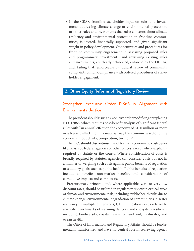**•** In the CEAS, frontline stakeholder input on rules and investments addressing climate change or environmental protection, or other rules and investments that raise concerns about climate resiliency and environmental protection in frontline communities, is invited, financially supported, and given significant weight in policy development. Opportunities and procedures for frontline community engagement in assessing proposed rules and programmatic investments, and reviewing existing rules and investments, are clearly delineated, enforced by the OCEJA, and, failing that, enforceable by judicial review of community complaints of non-compliance with ordered procedures of stakeholder engagement.

## **2. Other Equity Reforms of Regulatory Review**

## Strengthen Executive Order 12866 in Alignment with Environmental Justice

The president should issue an executive order modifying or replacing E.O. 12866, which requires cost-benefit analysis of significant federal rules with "an annual effect on the economy of \$100 million or more or adversely affect[ing] in a material way the economy, a sector of the economy, productivity, competition, [or] jobs."

The E.O. should discontinue use of formal, economistic cost-benefit analysis by federal agencies or other offices, except where explicitly required by statute or the courts. Where consideration of costs is broadly required by statutes, agencies can consider costs but not in a manner of weighing such costs against public benefits of regulation or statutory goals such as public health. Public benefits of regulation include co-benefits, non-market benefits, and consideration of cumulative impacts and complex risk.

Precautionary principle and, where applicable, zero or very low discount rates, should be utilized in regulatory review in critical areas of climate and environmental risk, including: public health risks due to climate change; environmental degradation of communities; disaster resiliency in multiple dimensions; GHG mitigation needs relative to scientific benchmarks of warming dangers; and ecosystem resiliency including biodiversity, coastal resilience, and soil, freshwater, and ocean health.

The Office of Information and Regulatory Affairs should be fundamentally transformed and have no central role in reviewing agency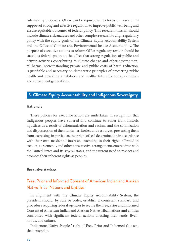rulemaking proposals. OIRA can be repurposed to focus on research in support of strong and effective regulation to improve public well-being and ensure equitable outcomes of federal policy. This research mission should include climate risk analyses and other complex research to align regulatory policy with the equity goals of the Climate Equity Accountability System and the Office of Climate and Environmental Justice Accountability. The purpose of executive actions to reform OIRA regulatory review should be stated as federal policy to the effect that strong regulation of public and private activities contributing to climate change and other environmental harms, notwithstanding private and public costs of harm reduction, is justifiable and necessary on democratic principles of protecting public health and providing a habitable and healthy future for today's children and subsequent generations.

## **3. Climate Equity Accountability and Indigenous Sovereignty**

#### **Rationale**

These policies for executive action are undertaken in recognition that Indigenous peoples have suffered and continue to suffer from historic injustices as a result of dehumanization and racism, and the colonization and dispossession of their lands, territories, and resources, preventing them from exercising, in particular, their right of self-determination in accordance with their own needs and interests, extending to their rights affirmed in treaties, agreements, and other constructive arrangements entered into with the United States and its several states, and the urgent need to respect and promote their inherent rights as peoples.

#### **Executive Actions**

## Free, Prior and Informed Consent of American Indian and Alaskan Native Tribal Nations and Entities

In alignment with the Climate Equity Accountability System, the president should, by rule or order, establish a consistent standard and procedure requiring federal agencies to secure the Free, Prior and Informed Consent of American Indian and Alaskan Native tribal nations and entities confronted with significant federal actions affecting their lands, livelihoods, and culture.

Indigenous Native Peoples' right of Free, Prior and Informed Consent shall extend to: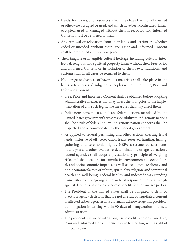- **•** Lands, territories, and resources which they have traditionally owned or otherwise occupied or used, and which have been confiscated, taken, occupied, used or damaged without their Free, Prior and Informed Consent, must be returned to them.
- **•** Any removal or relocation from their lands and territories, whether ceded or unceded, without their Free, Prior and Informed Consent shall be prohibited and not take place.
- **•** Their tangible or intangible cultural heritage, including cultural, intellectual, religious and spiritual property taken without their Free, Prior and Informed Consent or in violation of their laws, traditions, and customs shall in all cases be returned to them.
- **•** No storage or disposal of hazardous materials shall take place in the lands or territories of Indigenous peoples without their Free, Prior and Informed Consent.
	- » Free, Prior and Informed Consent shall be obtained before adopting administrative measures that may affect them or prior to the implementation of any such legislative measures that may affect them.
	- » Indigenous consent to significant federal actions mandated by the United States government's trust responsibility to Indigenous nations shall be a rule of federal policy. Indigenous nation concerns shall be respected and accommodated by the federal government.
	- » As applied to federal permitting and other actions affecting tribal lands, inclusive of off- reservation treaty-reserved hunting, fishing, gathering and ceremonial rights, NEPA assessments, cost-benefit analysis and other evaluative determinations of agency actions, federal agencies shall adopt a precautionary principle of weighing risks and shall account for cumulative environmental, sociocultural, and socioeconomic impacts, as well as ecological resiliency and non-economic factors of culture, spirituality, religion, and communal health and well-being. Federal liability and indebtedness extending from historic and ongoing failure in trust responsibilities shall weigh against decisions based on economic benefits for non-native parties.
	- » The President of the United States shall be obligated to deny or overturn agency decisions that are not a result of negotiated consent of affected tribes; agencies must formally acknowledge this presidential obligation in writing within 90 days of inauguration of a new administration.
	- » The president will work with Congress to codify and enshrine Free, Prior and Informed Consent principles in federal law, with a right of judicial review.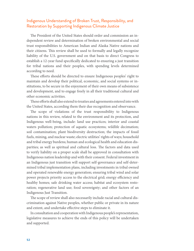## Indigenous Understanding of Broken Trust, Responsibility, and Restoration by Supporting Indigenous Climate Justice

The President of the United States should order and commission an independent review and determination of broken environmental and social trust responsibilities to American Indian and Alaska Native nations and their citizens. This review shall be used to formally and legally recognize liability of the U.S. government and on that basis to direct Congress to establish a 12-year fund specifically dedicated to ensuring a just transition for tribal nations and their peoples, with spending levels determined according to need.

These efforts should be directed to ensure Indigenous peoples' right to maintain and develop their political, economic, and social systems or institutions, to be secure in the enjoyment of their own means of subsistence and development, and to engage freely in all their traditional cultural and other economic activities.

These efforts shall also extend to treaties and agreements entered into with the United States, according them their due recognition and observance.

The scope of violations of the trust responsibility to Indigenous nations in this review, related to the environment and its protection, and Indigenous well-being, include: land use practices; interior and coastal waters pollution; protection of aquatic ecosystems; wildlife decimation; soil contamination; plant biodiversity destruction; the impacts of fossil fuels, mining, and nuclear waste; electric utilities' rights of ways; household and tribal energy burdens; human and ecological health and education disparities; as well as spiritual and cultural loss. The factors and data used to verify liability on a proper scale shall be approved in consultation with Indigenous nation leadership and with their consent. Federal investment in an Indigenous just transition will support self-governance and self-determined tribal implementation plans, including investments in tribal owned and operated renewable energy generation; ensuring tribal wind and solar power projects priority access to the electrical grid; energy efficiency and healthy homes; safe drinking water access; habitat and ecosystem restoration; regenerative land use; food sovereignty; and other factors of an Indigenous Just Transition.

The scope of review shall also necessarily include racial and cultural discrimination against Native peoples, whether public or private in its nature and extent, and undertake effective steps to eliminate it.

In consultation and cooperation with Indigenous people's representation, legislative measures to achieve the ends of this policy will be undertaken and supported.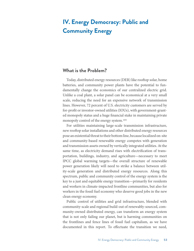# **IV. Energy Democracy: Public and Community Energy**

## **What is the Problem?**

Today, distributed energy resources (DER) like rooftop solar, home batteries, and community power plants have the potential to fundamentally change the economics of our centralized electric grid. Unlike a coal plant, a solar panel can be economical at a very small scale, reducing the need for an expensive network of transmission lines. However, 72 percent of U.S. electricity customers are served by for-profit or investor-owned utilities (IOUs), with government-granted monopoly status and a huge financial stake in maintaining private monopoly control of the energy system.<sup>105</sup>

For utilities maintaining large-scale transmission infrastructure, new rooftop solar installations and other distributed energy resources pose an existential threat to their bottom line, because localized on-site and community-based renewable energy competes with generation and transmission assets owned by vertically integrated utilities. At the same time, as electricity demand rises with electrification of transportation, buildings, industry, and agriculture—necessary to meet IPCC global warming targets—the overall structure of renewable power generation likely will need to strike a balance between utility-scale generation and distributed energy resources. Along this spectrum, public and community control of the energy system is the key to a just and equitable energy transition—primarily for residents and workers in climate-impacted frontline communities, but also for workers in the fossil fuel economy who deserve good jobs in the new clean energy economy.

Public control of utilities and grid infrastructure, blended with community-scale and regional build-out of renewably-sourced, community-owned distributed energy, can transform an energy system that is not only failing our planet, but is harming communities on the frontlines and fence lines of fossil fuel capitalism, as we have documented in this report. To effectuate the transition we need,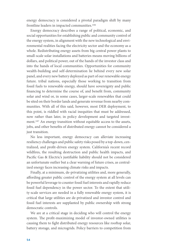energy democracy is considered a pivotal paradigm shift by many frontline leaders in impacted communities.106

Energy democracy describes a range of political, economic, and social opportunities for establishing public and community control of the energy system, in alignment with the new technological and environmental realities facing the electricity sector and the economy as a whole. Redistributing energy assets from big central power plants to small-scale solar installations and batteries means moving billions of dollars, and political power, out of the hands of the investor class and into the hands of local communities. Opportunities for community wealth-building and self-determination lie behind every new solar panel, and every new battery deployed as part of our renewable energy future. tribal nations, especially those working to transition from fossil fuels to renewable energy, should have sovereignty and public financing to determine the course of, and benefit from, community solar and wind or, in some cases, larger-scale renewables that could be sited on their border lands and generate revenue from nearby communities. With all of this said, however, most DER deployment, to this point, is riddled with racial inequities that must be addressed, now rather than later, in policy development and targeted investment.<sup>107</sup> An energy transition without equitable access to the assets, jobs, and other benefits of distributed energy cannot be considered a just transition.

No less important, energy democracy can alleviate increasing resiliency challenges and public safety risks posed by a top-down, centralized, and profit-driven energy system. California's recent record wildfires, the resulting destruction and public health impacts, and Pacific Gas & Electric's justifiable liability should not be considered an unfortunate outlier but a clear warning of future crises, as centralized energy faces increasing climate risks and impacts.

Finally, at a minimum, de-privatizing utilities and, more generally, affording greater public control of the energy system at all levels can be powerful leverage to counter fossil fuel interests and rapidly reduce fossil fuel dependency in the power sector. To the extent that utility-scale services are needed in a fully renewable energy system, it is critical that large utilities are de-privatized and investor control and fossil fuel interests are supplanted by public ownership with strong democratic controls.

We are at a critical stage in deciding who will control the energy system. The profit-maximizing model of investor-owned utilities is causing them to fight distributed energy resources like rooftop solar, battery storage, and microgrids. Policy barriers to competition from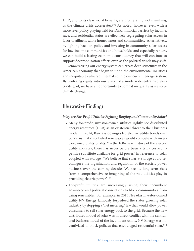DER, and to its clear social benefits, are proliferating, not shrinking, as the climate crisis accelerates.108 As noted, however, even with a more level policy playing field for DER, financial barriers by income, race, and residential status are effectively segregating solar access in favor of affluent white homeowners and communities. Alternatively, by fighting back on policy and investing in community solar access for low-income communities and households, and especially renters, we can build a lasting economic constituency that will continue to support decarbonization efforts even as the political winds may shift.

Democratizing our energy system can create deep structures in the American economy that begin to undo the environmental injustices and inequitable vulnerabilities baked into our current energy system. By centering equity into our vision of a modern decentralized electricity grid, we have an opportunity to combat inequality as we solve climate change.

## **Illustrative Findings**

#### *Why are For-Profit Utilities Fighting Rooftop and Community Solar?*

- **•** Many for-profit, investor-owned utilities rightly see distributed energy resources (DER) as an existential threat to their business model. In 2014, Barclays downgraded electric utility bonds over concerns that distributed renewables would compete with investor-owned utility profits. "In the 100+ year history of the electric utility industry, there has never before been a truly cost-competitive substitute available for grid power," in reference to solar coupled with storage. "We believe that solar + storage could reconfigure the organization and regulation of the electric power business over the coming decade. We see … long-term risks from a comprehensive re-imagining of the role utilities play in providing electric power."109
- **•** For-profit utilities are increasingly using their incumbent advantage and political connections to block communities from using renewables. For example, in 2015 Nevada's investor-owned utility NV Energy famously torpedoed the state's growing solar industry by stopping a "net metering" law that would allow power consumers to sell solar energy back to the grid. Because the new distributed model of solar was in direct conflict with the centralized business model of the incumbent utility, NV Energy was incentivized to block policies that encouraged residential solar.110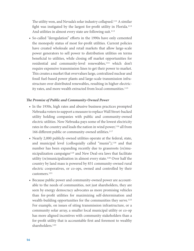The utility won, and Nevada's solar industry collapsed.111 A similar fight was instigated by the largest for-profit utility in Florida.112 And utilities in almost every state are following suit.<sup>113</sup>

**•** So-called "deregulation" efforts in the 1990s have only cemented the monopoly status of most for-profit utilities. Current policies have created wholesale and retail markets that allow large-scale power generators to sell power to distribution utilities on terms beneficial to utilities, while closing off market opportunities for residential and community-level renewables,<sup>114</sup> which don't require expensive transmission lines to get their power to market. This creates a market that overvalues large, centralized nuclear and fossil fuel-based power plants and large-scale transmission infrastructure over distributed renewables, resulting in higher electricity rates, and more wealth extracted from local communities.<sup>115</sup>

#### *The Promise of Public and Community-Owned Power*

- **•** In the 1930s, high rates and abusive business practices prompted Nebraska voters to support a measure to replace Wall Street-backed utility holding companies with public and community-owned electric utilities. Now Nebraska pays some of the lowest electricity rates in the country and leads the nation in wind power,  $116$  all from 166 different public or community-owned utilities.<sup>117</sup>
- **•** Nearly 2,000 publicly-owned utilities operate at the federal, state, and municipal level (colloquially called "munis"),<sup>118</sup> and that number has been expanding recently due to grassroots (re)municipalization campaigns<sup>119</sup> and New Deal-era laws that facilitate utility (re)municipalization in almost every state.120 Over half the country by land mass is powered by 831 community-owned rural electric cooperatives, or co-ops, owned and controlled by their customers.121
- **•** Because public power and community-owned power are accountable to the needs of communities, not just shareholders, they are seen by energy democracy advocates as more promising vehicles than for-profit utilities for maximizing self-determination and wealth-building opportunities for the communities they serve.<sup>122</sup> For example, on issues of siting transmission infrastructure, or a community solar array, a smaller local municipal utility or co-op has more aligned incentives with community stakeholders than a for-profit utility that is accountable first and foremost to wealthy shareholders.<sup>123</sup>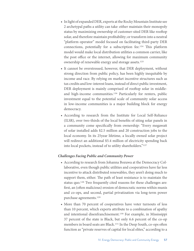- **•** In light of expanded DER, experts at the Rocky Mountain Institute see 2 archetypal paths a utility can take: either maintain their monopoly status by maximizing ownership of customer-sited DER like rooftop solar, and therefore maintain profitability; or transform into a neutral "platform operator" model focused on facilitating third-party DER connections, potentially for a subscription fee.124 This platform model would make local distribution utilities a common carrier, like the post office or the internet, allowing for maximum community ownership of renewable energy and storage assets.<sup>125</sup>
- **•** It cannot be overstressed, however, that DER deployment, without strong direction from public policy, has been highly inequitable by income and race. By relying on market incentive structures such as tax credits and low-interest loans, instead of direct public investment, DER deployment is mainly comprised of rooftop solar in middleand high-income communities.126 Particularly for renters, public investment equal to the potential scale of community solar access in low-income communities is a major building block for energy democracy.
- **•** According to research from the Institute for Local Self-Reliance (ILSR), over two-thirds of the local benefits of siting solar panels in a community come specifically from ownership: "Every megawatt of solar installed adds \$2.5 million and 20 construction jobs to the local economy. In its 25year lifetime, a locally owned solar project will redirect an additional \$5.4 million of electricity spending back into local pockets, instead of to utility shareholders."127

#### *Challenges Facing Public and Community Power*

- **•** According to research from Johanna Bozuwa at the Democracy Collaborative, even though public utilities and cooperatives have far less incentive to attack distributed renewables, they aren't doing much to support them, either. The path of least resistance is to maintain the status quo.<sup>128</sup> Two frequently cited reasons for these challenges are: first, an (often malicious) erosion of democratic norms within munis and co-ops, and second, partial privatization via long-term power purchase agreements.129
- More than 70 percent of cooperatives have voter turnouts of less than 10 percent, which experts attribute to a combination of apathy and intentional disenfranchisement.130 For example, in Mississippi 37 percent of the state is Black, but only 6.6 percent of the co-op members in board seats are Black.<sup>131</sup> In the Deep South, co-ops often function as "private reserves of capital for local elites," according to a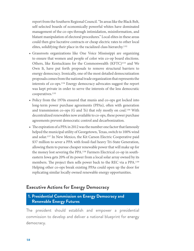report from the Southern Regional Council. "In areas like the Black Belt, self-selected boards of economically powerful whites have dominated management of the co-ops through intimidation, misinformation, and blatant manipulation of electoral procedures." Local elites in these areas could then give lucrative contracts or cheap electric rates to other local elites, solidifying their place in the racialized class hierarchy.132

- **•** Grassroots organizations like One Voice Mississippi are organizing to ensure that women and people of color win co-op board elections. Others, like Kentuckians for the Commonwealth (KFTC)<sup>133</sup> and We Own It, have put forth proposals to remove structural barriers to energy democracy. Ironically, one of the most detailed democratization proposals comes from the national trade organization that represents the interests of co-ops.134 Energy democracy advocates suggest the report was kept private in order to serve the interests of the less democratic cooperatives.135
- **•** Policy from the 1970s ensured that munis and co-ops got locked into long-term power purchase agreements (PPAs), often with generation and transmission co-ops (G and Ts) that rely mostly on coal.<sup>136</sup> With decentralized renewables now available to co-ops, these power purchase agreements prevent democratic control and decarbonization.
- **•** The expiration of a PPA in 2012 was the number one factor that famously helped the municipal utility of Georgetown, Texas, switch to 100% wind and solar.137 In New Mexico, the Kit Carson Electric Cooperative paid \$37 million to sever a PPA with fossil-fuel heavy Tri-State Generation, allowing them to pursue cheaper renewable power that will make up for the money lost severing the PPA.138 Farmers Electrical co-op in southeastern Iowa gets 20% of its power from a local solar array owned by its members. The project then sells power back to the REC via a PPA.<sup>139</sup> Helping other co-ops break existing PPAs could open up the door for replicating similar locally owned renewable energy opportunities.

## **Executive Actions for Energy Democracy**

## **1. Presidential Commission on Energy Democracy and Renewable Energy Futures**

The president should establish and empower a presidential commission to develop and deliver a national blueprint for energy democracy.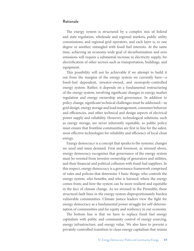#### **Rationale**

The energy system is structured by a complex mix of federal and state regulation, wholesale and regional markets, public utility commissions, and regional grid operators, and each layer is, to one degree or another, entangled with fossil fuel interests. At the same time, achieving an economy-wide goal of decarbonization and zero emissions will require a substantial increase in electricity supply, for electrification of other sectors such as transportation, buildings, and equipment.

This possibility will not be achievable if we attempt to build it out from the margins of the energy system we currently have—a fossil-fuel dependent, investor-owned, and monopoly-controlled energy system. Rather, it depends on a fundamental restructuring of the energy system, involving significant changes in energy market regulation and energy ownership and governance. In addition to policy change, significant technical challenges must be addressed—in grid design, energy storage and load management, consumer behavior and efficiencies, and other technical and design aspects of electrical power supply and reliability. However, technological solutions, such as energy storage, are never inherently equitable, so public policy must ensure that frontline communities are first in line for the safest, most effective technologies for reliability and efficiency of local clean energy.

Energy democracy is a concept that speaks to the systemic changes we need and must demand. First and foremost, as stressed above, energy democracy recognizes that governance of the energy system must be wrested from investor-ownership of generators and utilities, and their financial and political collusion with fossil fuel suppliers. In this respect, energy democracy is a governance framework comprised of rules and policies that determine 3 basic things: who controls the energy system, who benefits, and who is harmed; where the energy comes from; and how the system can be more resilient and equitable in the face of climate change. As we stressed in the Preamble, these structural fault lines in the energy system disproportionately burden vulnerable communities. Climate justice leaders view the fight for energy democracy as a fundamental power struggle for self-determination of communities and for equity and resiliency in our economy.

The bottom line is that we have to replace fossil fuel energy capitalism with public and community control of energy sourcing, energy infrastructure, and energy value. We also have to prevent a privately-controlled transition to clean energy capitalism that retains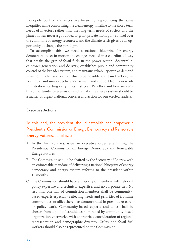monopoly control and extractive financing, reproducing the same inequities while conforming the clean energy timeline to the short-term needs of investors rather than the long term-needs of society and the planet. It was never a good idea to grant private monopoly control over the commons of energy resources, and the climate crisis gives us an opportunity to change the paradigm.

To accomplish this, we need a national blueprint for energy democracy, to set in motion the changes needed in a coordinated way that breaks the grip of fossil fuels in the power sector, decentralizes power generation and delivery, establishes public and community control of the broader system, and maintains reliability even as demand is rising in other sectors. For this to be possible and gain traction, we need bold and unapologetic endorsement and support from a new administration starting early in its first year. Whether and how we seize this opportunity to re-envision and remake the energy system should be a matter of urgent national concern and action for our elected leaders.

#### **Executive Actions**

## To this end, the president should establish and empower a Presidential Commission on Energy Democracy and Renewable Energy Futures, as follows:

- A. In the first 90 days, issue an executive order establishing the Presidential Commission on Energy Democracy and Renewable Energy Futures.
- B. The Commission should be chaired by the Secretary of Energy, with an enforceable mandate of delivering a national blueprint of energy democracy and energy system reforms to the president within 15 months.
- C. The Commission should have a majority of members with relevant policy expertise and technical expertise, and no corporate ties. No less than one-half of commission members shall be communitybased experts especially reflecting needs and priorities of frontline communities, or allies thereof as demonstrated in previous research or policy work. Community-based experts and allies shall be chosen from a pool of candidates nominated by community-based organizations/networks, with appropriate consideration of regional representation and demographic diversity. Utility and fossil fuel workers should also be represented on the Commission.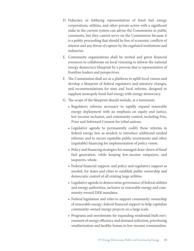- D. Fiduciary or lobbying representatives of fossil fuel energy corporations, utilities, and other private actors with a significant stake in the current system can advise the Commission in public comments, but they cannot serve on the Commission because it is a public proceeding that should be free of economic conflicts of interest and any threat of capture by the regulated institutions and industries.
- E. Community organizations shall be invited and given financial resources to collaborate on local visioning to inform the national energy democracy blueprint by a process that is representative of frontline leaders and perspectives.
- F. The Commission shall act as a platform to uplift local visions and develop a blueprint of federal regulatory and statutory changes, and recommendations for state and local reforms, designed to supplant monopoly fossil fuel energy with energy democracy.
- G. The scope of the blueprint should include, at a minimum:
	- **•** Regulatory reforms necessary to rapidly expand renewable energy deployment with an emphasis on equity and justice, low-income inclusion, and community control, including Free, Prior and Informed Consent for tribal nations.
	- **•** Legislative agenda to permanently codify these reforms in federal energy law, as needed; to introduce additional needed reforms; and to secure equitable public investments and other (equitable) financing for implementation of policy vision.
	- **•** Policy and financing strategies for managed draw-down of fossil fuel generation, while keeping low-income ratepayers, and taxpayers, whole.
	- **•** Federal financial support, and policy and regulatory support as needed, for states and cities to establish public ownership and democratic control of all existing large utilities.
	- **•** Legislative agenda to democratize governance of federal utilities and energy authorities, inclusive or renewable energy and community-owned DER mandates.
	- **•** Federal legislation and rules to support community ownership of renewable energy; federal financial support to help capitalize community-owned energy projects on a large scale.
	- **•** Programs and investments for expanding residential built environment of energy efficiency and demand reduction, prioritizing weatherization and healthy homes in low-income communities.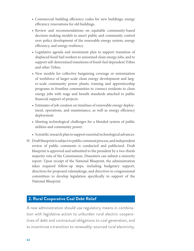- **•** Commercial building efficiency codes for new buildings; energy efficiency renovations for old buildings.
- **•** Review and recommendations on equitable community-based decision-making models to assert public and community control over policy development of the renewable energy system, energy efficiency, and energy resiliency.
- **•** Legislative agenda and investment plan to support transition of displaced fossil fuel workers to unionized clean energy jobs, and to support self-determined transitions of fossil-fuel dependent Tribes and other Tribes.
- **•** New models for collective bargaining coverage or unionization of workforce of larger-scale clean energy development and larger-scale community power plants; training and apprenticeship programs in frontline communities to connect residents to clean energy jobs with wage and benefit standards attached to public financial support of projects.
- **•** Estimates of job creation on timelines of renewable energy deployment, operations, and maintenance, as well as energy efficiency deployment.
- **•** Meeting technological challenges for a blended system of public utilities and community power.
- **•** Scientific research plan to support essential technological advances.
- H. Draft blueprint is subject to public comment process, and independent review of public comments is conducted and publicized. Draft blueprint is approved and submitted to the president by a two-thirds majority vote of the Commission. Dissenters can submit a minority report. Upon receipt of the National Blueprint, the administration takes required follow-up steps, including budgetary support, directives for proposed rulemakings, and directives to congressional committees to develop legislation specifically in support of the National Blueprint.

## **2. Rural Cooperative Coal Debt Relief**

A new administration should use regulatory means in combination with legislative action to unburden rural electric cooperatives of debt and contractual obligations to coal generation, and to incentivize a transition to renewably-sourced rural electricity.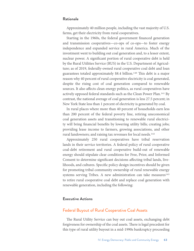#### **Rationale**

Approximately 40 million people, including the vast majority of U.S. farms, get their electricity from rural cooperatives.

Starting in the 1960s, the federal government financed generation and transmission cooperatives—co-ops of co-ops—to foster energy independence and expanded service in rural America. Much of the investment went to building out coal generation and, to a lesser extent, nuclear power. A significant portion of rural cooperative debt is held by the Rural Utilities Service (RUS) in the U.S. Department of Agriculture; as of 2019, federally-owned rural cooperative coal debt and loan guarantees totaled approximately \$8.4 billion.140 This debt is a major reason why 40 percent of rural cooperative electricity is coal generated, despite the rising cost of coal generation compared to renewable sources. It also affects clean energy politics, as rural cooperatives have actively opposed federal standards such as the Clean Power Plan.141 By contrast, the national average of coal generation is less 27.5 percent; in New York State less than 1 percent of electricity is generated by coal.

In rural places where more than 40 percent of households earn less than 200 percent of the federal poverty line, retiring uneconomical coal generation assets and transitioning to renewable rural electricity will bring financial benefits by lowering utility bills; creating jobs; providing lease income to farmers, growing associations, and other rural landowners; and raising tax revenues for local needs.<sup>142</sup>

Approximately 250 rural cooperatives have tribal reservation lands in their service territories. A federal policy of rural cooperative coal-debt retirement and rural cooperative build-out of renewable energy should stipulate clear conditions for Free, Prior, and Informed Consent to determine significant decisions affecting tribal lands, livelihoods, and cultures. Specific policy design incentives should be given for promoting tribal community ownership of rural renewable energy systems serving Tribes. A new administration can take measures $143$ to retire rural cooperative coal debt and replace coal generation with renewable generation, including the following:

#### **Executive Actions**

#### Federal Buyout of Rural Cooperative Coal Assets

The Rural Utility Service can buy out coal assets, exchanging debt forgiveness for ownership of the coal assets. There is legal precedent for this type of rural utility buyout in a mid-1990s bankruptcy proceeding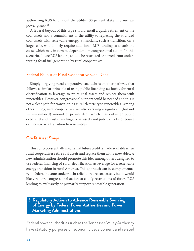authorizing RUS to buy out the utility's 30 percent stake in a nuclear power plant.144

A federal buyout of this type should entail a quick retirement of the coal assets and a commitment of the utility to replacing the stranded coal assets with renewable energy. Financially, such a transition, on a large scale, would likely require additional RUS funding to absorb the costs, which may in turn be dependent on congressional action. In this scenario, future RUS lending should be restricted or barred from underwriting fossil fuel generation by rural cooperatives.

## Federal Bailout of Rural Cooperative Coal Debt

Simply forgiving rural cooperative coal debt is another pathway that follows a similar principle of using public financing authority for rural electrification as leverage to retire coal assets and replace them with renewables. However, congressional support could be needed and this is not a clear path for transitioning rural electricity to renewables. Among other things, rural cooperatives are also carrying a significant (but not well-monitored) amount of private debt, which may outweigh public debt relief and resist stranding of coal assets and public efforts to require or incentivize a transition to renewables.

#### Credit Asset Swaps

This concept essentially means that future credit is made available when rural cooperatives retire coal assets and replace them with renewables. A new administration should promote this idea among others designed to use federal financing of rural electrification as leverage for a renewable energy transition in rural America. This approach can be complementary to federal buyouts and/or debt relief to retire coal assets, but it would likely require congressional action to codify restrictions of future RUS lending to exclusively or primarily support renewable generation.

**3. Regulatory Actions to Advance Renewable Sourcing of Energy by Federal Power Authorities and Power Marketing Administrations**

Federal power authorities such as the Tennessee Valley Authority have statutory purposes on economic development and related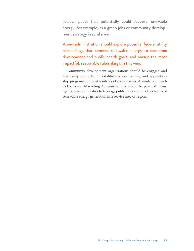societal goods that potentially could support renewable energy, for example, as a green jobs or community development strategy in rural areas.

A new administration should explore potential federal utility rulemakings that connect renewable energy to economic development and public health goals, and pursue the most impactful, reasonable rulemakings in this vein.

Community development organizations should be engaged and financially supported in establishing job training and apprenticeship programs for local residents of service areas. A similar approach to the Power Marketing Administrations should be pursued to use hydropower authorities to leverage public build-out of other forms of renewable energy generation in a service area or region.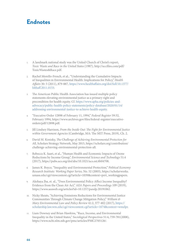## **Endnotes**

- 1. A landmark national study was the United Church of Christ's report, *Toxic Waste and Race in the United States* (1987), [http://uccfiles.com/pdf/](http://uccfiles.com/pdf/ToxicWastes&Race.pdf) [ToxicWastes&Race.pdf](http://uccfiles.com/pdf/ToxicWastes&Race.pdf).
- 2. Rachel Morello-Frosch, et al., "Understanding the Cumulative Impacts of Inequalities in Environmental Health: Implications for Policy," *Health Affairs* 30: 5 (2011), 879-887, [https://www.healthaffairs.org/doi/full/10.1377/](https://www.healthaffairs.org/doi/full/10.1377/hlthaff.2011.0153) [hlthaff.2011.0153](https://www.healthaffairs.org/doi/full/10.1377/hlthaff.2011.0153).
- 3. The American Public Health Association has issued multiple policy statements elevating environmental justice as a primary right and precondition for health equity. Cf. [https://www.apha.org/policies-and](https://www.apha.org/policies-and-advocacy/public-health-policy-statements/policy-database/2020/01/14/addressing-environmental-justice-to-achieve-health-equity)[advocacy/public-health-policy-statements/policy-database/2020/01/14/](https://www.apha.org/policies-and-advocacy/public-health-policy-statements/policy-database/2020/01/14/addressing-environmental-justice-to-achieve-health-equity) [addressing-environmental-justice-to-achieve-health-equity](https://www.apha.org/policies-and-advocacy/public-health-policy-statements/policy-database/2020/01/14/addressing-environmental-justice-to-achieve-health-equity).
- 4. "Executive Order 12898 of February 11, 1994," *Federal Register* 59:32, February 1994, [https://www.archives.gov/files/federal-register/executive](https://www.archives.gov/files/federal-register/executive-orders/pdf/12898.pdf)[orders/pdf/12898.pdf](https://www.archives.gov/files/federal-register/executive-orders/pdf/12898.pdf).
- 5. Jill Lindsey Harrison, *From the Inside Out: The Fight for Environmental Justice within Government Agencies* (Cambridge, MA: The MIT Press, 2019), Ch. 2.
- 6. David M. Konisky, *The Challenge of Achieving Environmental Protection for All*, Scholars Strategy Network, May 2015, [https://scholars.org/contribution/](https://scholars.org/contribution/challenge-achieving-environmental-protection-all) [challenge-achieving-environmental-protection-all.](https://scholars.org/contribution/challenge-achieving-environmental-protection-all)
- 7. Rebecca K. Saari, et al., "Human Health and Economic Impacts of Ozone Reductions by Income Group," *Environmental Science and Technology* 51:4 (2017), [https://pubs.acs.org/doi/abs/10.1021/acs.est.6b04708.](https://pubs.acs.org/doi/abs/10.1021/acs.est.6b04708)
- 8. James K. Boyce, "Inequality and Environmental Protection," *Political Economy Research Institute: Working Paper Series,* No. 52 (2003), [https://scholarworks.](https://scholarworks.umass.edu/cgi/viewcontent.cgi?article=1039&context=peri_workingpapers) [umass.edu/cgi/viewcontent.cgi?article=1039&context=peri\\_workingpapers](https://scholarworks.umass.edu/cgi/viewcontent.cgi?article=1039&context=peri_workingpapers).
- 9. Akshaya Jha, et. al., "Does Environmental Policy Affect Income Inequality? Evidence from the Clean Air Act," *AEA Papers and Proceedings* 109 (2019), <https://www.aeaweb.org/articles?id=10.1257/pandp.20191062>.
- 10. Nicky Sheats, "Achieving Emissions Reductions for Environmental Justice Communities Through Climate Change Mitigation Policy," *William & Mary Environmental Law and Policy Review* 41:2, 377-402 (2017), [https://](https://scholarship.law.wm.edu/cgi/viewcontent.cgi?article=1674&context=wmelpr) [scholarship.law.wm.edu/cgi/viewcontent.cgi?article=1674&context=wmelpr](https://scholarship.law.wm.edu/cgi/viewcontent.cgi?article=1674&context=wmelpr).
- 11. Liam Downey and Brian Hawkins, "Race, Income, and Environmental Inequality in the United States," *Sociological Perspectives* 51:4, 759-781(2008), <https://www.ncbi.nlm.nih.gov/pmc/articles/PMC2705126/>.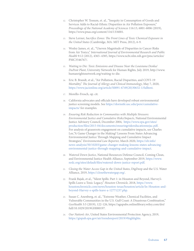- 12. Christopher W. Tessum, et. al., "Inequity in Consumption of Goods and Services Adds to Racial-Ethnic Disparities in Air Pollution Exposure," *Proceedings of the National Academy of Sciences* 116:13, 6001-6006 (2019), [https://www.pnas.org/content/116/13/6001.](https://www.pnas.org/content/116/13/6001)
- 13. Steve Lerner, *Sacrifice Zones: The Front Lines of Toxic Chemical Exposure in the United States* (Cambridge, MA: MIT Press, 2012), 6-9.
- 14. Wesley James, et. al., "Uneven Magnitude of Disparities in Cancer Risks from Air Toxics," *International Journal of Environmental Research and Public Health* 9:12 (2012), 4365–4385, [https://www.ncbi.nlm.nih.gov/pmc/articles/](https://www.ncbi.nlm.nih.gov/pmc/articles/PMC3546767/) [PMC3546767/](https://www.ncbi.nlm.nih.gov/pmc/articles/PMC3546767/).
- 15. *Waiting to Die: Toxic Emissions and Disease Near the Louisiana Denka/ DuPont Plant*, University Network for Human Rights, July 2019, [http://www.](http://www.humanrightsnetwork.org/waiting-to-die) [humanrightsnetwork.org/waiting-to-die](http://www.humanrightsnetwork.org/waiting-to-die).
- 16. Eric B. Brandt, et al., "Air Pollution, Racial Disparities, and COVI-19 Mortality," *The Journal of Allergy and Clinical Immunology*, May 7, 2020, [https://www.jacionline.org/article/S0091-6749\(20\)30632-1/fulltext.](https://www.jacionline.org/article/S0091-6749(20)30632-1/fulltext)
- 17. Morello-Frosch, op. cit.
- 18. California advocates and officials have developed robust environmental justice screening models. See [https://dornsife.usc.edu/pere/cumulative](https://dornsife.usc.edu/pere/cumulative-impacts/)[impacts/](https://dornsife.usc.edu/pere/cumulative-impacts/) for examples.
- 19. *Ensuring Risk Reduction in Communities with Multiple Stressors: Environmental Justice and Cumulative Risks/Impacts*, National Environmental Justice Advisory Council, December 2004, [https://www.epa.gov/sites/](https://www.epa.gov/sites/production/files/2015-04/documents/ensuringriskreducationnejac.pdf) [production/files/2015-04/documents/ensuringriskreducationnejac.pdf.](https://www.epa.gov/sites/production/files/2015-04/documents/ensuringriskreducationnejac.pdf) For analysis of grassroots engagement on cumulative impacts, see Charles Lee,"A Game Changer in the Making? Lessons From States Advancing Environmental Justice Through Mapping and Cumulative Impact Strategies," *Environmental Law Reporter,* March 2020, [https://elr.info/](https://elr.info/news-analysis/50/10203/game-changer-making-lessons-states-advancing-environmental-justice-through-mapping-and-cumulative-impact) [news-analysis/50/10203/game-changer-making-lessons-states-advancing](https://elr.info/news-analysis/50/10203/game-changer-making-lessons-states-advancing-environmental-justice-through-mapping-and-cumulative-impact)[environmental-justice-through-mapping-and-cumulative-impact](https://elr.info/news-analysis/50/10203/game-changer-making-lessons-states-advancing-environmental-justice-through-mapping-and-cumulative-impact).
- 20. *Watered Down Justice*, National Resources Defense Council, Coming Clean, and Environmental Justice Health Alliance, September 2019, [https://www.](https://www.nrdc.org/sites/default/files/watered-down-justice-report.pdf) [nrdc.org/sites/default/files/watered-down-justice-report.pdf.](https://www.nrdc.org/sites/default/files/watered-down-justice-report.pdf)
- 21. *Closing the Water Access Gap in the United States*, DigDeep and the U.S. Water Alliance, 2019,<https://closethewatergap.org/>.
- 22. Frank Bajak, et al., "Silent Spills: Part 1: in Houston and Beyond, Harvey's Spills Leave a Toxic Legacy," *Houston Chronicle,* 2018, [https://www.](https://www.houstonchronicle.com/news/houston-texas/houston/article/In-Houston-and-beyond-Harvey-s-spills-leave-a-12771237.php) [houstonchronicle.com/news/houston-texas/houston/article/In-Houston-and](https://www.houstonchronicle.com/news/houston-texas/houston/article/In-Houston-and-beyond-Harvey-s-spills-leave-a-12771237.php)[beyond-Harvey-s-spills-leave-a-12771237.php](https://www.houstonchronicle.com/news/houston-texas/houston/article/In-Houston-and-beyond-Harvey-s-spills-leave-a-12771237.php).
- 23. Susan C. Anenberg, et. al., "Extreme Weather, Chemical Facilities, and Vulnerable Communities in the U.S. Gulf Coast: A Disastrous Combination," *GeoHealth* 3:5 (2019), 122-126, [https://agupubs.onlinelibrary.wiley.com/doi/](https://agupubs.onlinelibrary.wiley.com/doi/full/10.1029/2019GH000197) [full/10.1029/2019GH000197.](https://agupubs.onlinelibrary.wiley.com/doi/full/10.1029/2019GH000197)
- 24. *Our Nation's Air*, United States Environmental Protection Agency, 2019, https://gispub.epa.gov/air/trendsreport/2019/#highlights.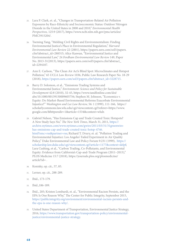- 25. Lara P. Clark, et. al., "Changes in Transportation-Related Air Pollution Exposures by Race-Ethnicity and Socioeconomic Status: Outdoor Nitrogen Dioxide in the United States in 2000 and 2010," *Environmental Health Perspectives,* 125:9 (2017), [https://www.ncbi.nlm.nih.gov/pmc/articles/](https://www.ncbi.nlm.nih.gov/pmc/articles/PMC5915204/) [PMC5915204/](https://www.ncbi.nlm.nih.gov/pmc/articles/PMC5915204/).
- 26. Tseming Yang, "Melding Civil Rights and Environmentalism: Finding Environmental Justice's Place in Environmental Regulation," *Harvard Environmental Law Review* 22 (2001), [https://papers.ssrn.com/sol3/papers.](https://papers.ssrn.com/sol3/papers.cfm?abstract_id=288315) [cfm?abstract\\_id=288315](https://papers.ssrn.com/sol3/papers.cfm?abstract_id=288315); Alice Kaswan, "Environmental Justice and Environmental Law," 24 *Fordham Environmental Law Review* 149, Paper No. 2013-31(2013), [https://papers.ssrn.com/sol3/papers.cfm?abstract\\_](https://papers.ssrn.com/sol3/papers.cfm?abstract_id=2294187) [id=2294187](https://papers.ssrn.com/sol3/papers.cfm?abstract_id=2294187).
- 27. Ann E. Carlson, "The Clean Air Act's Blind Spot: Microclimates and Hotspot Pollution," 65 *UCLA Law Review* 1036, Public Law Research Paper No. 18-29 (2018), [https://papers.ssrn.com/sol3/papers.cfm?abstract\\_id=3228715.](https://papers.ssrn.com/sol3/papers.cfm?abstract_id=3228715)
- 28. Barry D. Solomon, et al., "Emissions Trading Systems and Environmental Justice," *Environment: Science and Policy for Sustainable Development* 42:8 (2010), 32-45, [https://www.tandfonline.com/doi/](https://www.tandfonline.com/doi/abs/10.1080/00139150009605756) [abs/10.1080/00139150009605756](https://www.tandfonline.com/doi/abs/10.1080/00139150009605756); Stephen M. Johnson, "Economics v. Equity: Do Market-Based Environmental Reforms Exacerbate Environmental Injustice?" *Washington and Lee Law Review,* 56: 1 (1999), 111-166, [https://](https://scholarlycommons.law.wlu.edu/cgi/viewcontent.cgi?referer=https://www.google.com/&httpsredir=1&article=1534&context=wlulr) [scholarlycommons.law.wlu.edu/cgi/viewcontent.cgi?referer=https://www.](https://scholarlycommons.law.wlu.edu/cgi/viewcontent.cgi?referer=https://www.google.com/&httpsredir=1&article=1534&context=wlulr) [google.com/&httpsredir=1&article=1534&context=wlulr](https://scholarlycommons.law.wlu.edu/cgi/viewcontent.cgi?referer=https://www.google.com/&httpsredir=1&article=1534&context=wlulr).
- 29. Gabriel Nelson, "Has Emissions Cap and Trade Created Toxic Hotspots? A New Study Says No," *The New York Times*, March 31, 2011, [https://](https://archive.nytimes.com/www.nytimes.com/gwire/2011/03/31/31greenwire-has-emissions-cap-and-trade-created-toxic-hotsp-4746.html?emc=rss&partner=rss) [archive.nytimes.com/www.nytimes.com/gwire/2011/03/31/31greenwire](https://archive.nytimes.com/www.nytimes.com/gwire/2011/03/31/31greenwire-has-emissions-cap-and-trade-created-toxic-hotsp-4746.html?emc=rss&partner=rss)[has-emissions-cap-and-trade-created-toxic-hotsp-4746.](https://archive.nytimes.com/www.nytimes.com/gwire/2011/03/31/31greenwire-has-emissions-cap-and-trade-created-toxic-hotsp-4746.html?emc=rss&partner=rss) [html?emc=rss&partner=rss;](https://archive.nytimes.com/www.nytimes.com/gwire/2011/03/31/31greenwire-has-emissions-cap-and-trade-created-toxic-hotsp-4746.html?emc=rss&partner=rss) Richard T. Drury, et. al. "Pollution Trading and Environmental Injustice: Los Angeles' Failed Experiment in Air Quality Policy," Duke Environmental Law and Policy Forum 9:231 (1999), [https://](https://scholarship.law.duke.edu/cgi/viewcontent.cgi?article=1177&context=delpf) [scholarship.law.duke.edu/cgi/viewcontent.cgi?article=1177&context=delpf](https://scholarship.law.duke.edu/cgi/viewcontent.cgi?article=1177&context=delpf); Lara Cushing, et al., "Carbon Trading, Co-Pollutants, and Environmental Equity: Evidence from California's Cap-and-Trade Program (2011–2015)," PLOS Medicine 15:7 (2018), [https://journals.plos.org/plosmedicine/](https://journals.plos.org/plosmedicine/article?id=10.1371/journal.pmed.1002604) [article?id=](https://journals.plos.org/plosmedicine/article?id=10.1371/journal.pmed.1002604) .
- 30. Konisky, op. cit., 57, 85.
- 31. Lerner, op. cit., 288-289.
- 32. Ibid., 173-179.
- 33. Ibid.,186-189.
- 34. Ibid., 205; Kristen Lombardi, et. al., "Environmental Racism Persists, and the EPA Is One Reason Why," The Center for Public Integrity, September 2015, [https://publicintegrity.org/environment/environmental-racism-persists-and](https://publicintegrity.org/environment/environmental-racism-persists-and-the-epa-is-one-reason-why/)[the-epa-is-one-reason-why/.](https://publicintegrity.org/environment/environmental-racism-persists-and-the-epa-is-one-reason-why/)
- 35. United States Department of Transportation, Environmental Justice Strategy, 2016, [https://www.transportation.gov/transportation-policy/environmental](https://www.transportation.gov/transportation-policy/environmental-justice/environmental-justice-strategy)[justice/environmental-justice-strategy.](https://www.transportation.gov/transportation-policy/environmental-justice/environmental-justice-strategy)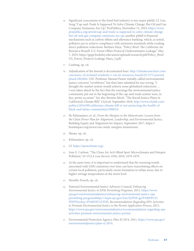- 36. Significant concessions to the fossil fuel industry is one major pitfall. Cf. Lisa Song,"Cap-and-Trade Is Supposed To Solve Climate Change, But Oil and Gas Company Emissions Are Up," ProPublica, November 15, 2019, [https://www.](https://www.propublica.org/article/cap-and-trade-is-supposed-to-solve-climate-change-but-oil-and-gas-company-emissions-are-up) [propublica.org/article/cap-and-trade-is-supposed-to-solve-climate-change](https://www.propublica.org/article/cap-and-trade-is-supposed-to-solve-climate-change-but-oil-and-gas-company-emissions-are-up)[but-oil-and-gas-company-emissions-are-up](https://www.propublica.org/article/cap-and-trade-is-supposed-to-solve-climate-change-but-oil-and-gas-company-emissions-are-up); another pitfall is financial mechanisms such as carbon offsets and allowance banking, which, as noted, polluters use to achieve compliance with emissions standards while evading direct pollution reductions: Barbara Haya, "Policy Brief: The California Air Resource Board's U.S. Forest Offset Protocol Underestimates Leakage," May 7, 2019, [https://gspp.berkeley.edu/assets/uploads/research/pdf/Policy\\_Brief-](https://gspp.berkeley.edu/assets/uploads/research/pdf/Policy_Brief-US_Forest_Projects-Leakage-Haya_2.pdf)[US\\_Forest\\_Projects-Leakage-Haya\\_2.pdf](https://gspp.berkeley.edu/assets/uploads/research/pdf/Policy_Brief-US_Forest_Projects-Leakage-Haya_2.pdf).
- 37. Cushing, op. cit.
- 38. Adjudication of the lawsuit is documented here: [http://climatecasechart.com/](http://climatecasechart.com/case/assoc-of-irritated-residents-v-cal-air-resources-board/10.1371/journal.pmed.1002604) [case/assoc-of-irritated-residents-v-cal-air-resources-board/10.1371/journal.](http://climatecasechart.com/case/assoc-of-irritated-residents-v-cal-air-resources-board/10.1371/journal.pmed.1002604) [pmed.1002604.](http://climatecasechart.com/case/assoc-of-irritated-residents-v-cal-air-resources-board/10.1371/journal.pmed.1002604) USC Professor Manuel Pastor initially called environmental justice concerns "overblown," but then later admitted he was wrong: "I thought the market system would achieve some globalized reductions … I was taken aback by the fact that the warnings the environmental justice community put out in the beginning of the cap-and-trade system were, in fact, pretty accurate." See also Brentin Mock, "The Racial Justice Flaws in California's Climate Bill," *CityLab*, September 2016, [http://www.citylab.com/](http://www.citylab.com/politics/2016/09/californias-climate-bill-is-not-protecting-the-health-of-black-and-latino-communities/500024/) [politics/2016/09/californias-climate-bill-is-not-protecting-the-health-of](http://www.citylab.com/politics/2016/09/californias-climate-bill-is-not-protecting-the-health-of-black-and-latino-communities/500024/)[black-and-latino-communities/500024/.](http://www.citylab.com/politics/2016/09/californias-climate-bill-is-not-protecting-the-health-of-black-and-latino-communities/500024/)
- 39. Ife Kilimanjaro, et. al., *From the Margins to the Mainstream: Lessons from the Clean Power Plan for Alignment, Leadership, and Environmental Justice*, Building Equity and Alignment for Impact, September 2017, [https://](https://bea4impact.org/news/case-study-margins-mainstream) [bea4impact.org/news/case-study-margins-mainstream](https://bea4impact.org/news/case-study-margins-mainstream).
- 40. Sheats, op. cit.
- 41. Kilimanjaro, op. cit.
- 42. Cf.<https://ajustclimate.org/>.
- 43. Ann E. Carlson, "The Clean Air Act's Blind Spot: Microclimates and Hotspot Pollution," 65 *UCLA Law Review* 1036, 2018, 1078-1079.
- 44. At the same time, it is important to understand that the warming trends associated with GHG emissions over time can have exacerbating effects on certain local pollution, particularly ozone formation in urban areas, due to higher average temperatures at the street level.
- 45. Morello-Frosch, op. cit.
- 46. National Environmental Justice Advisory Council, *Enhancing Environmental Justice in EPA's Permitting Programs,* 2011, [https://www.](https://www.epa.gov/environmentaljustice/enhancing-environmental-justice-epa-permitting-programs) [epa.gov/environmentaljustice/enhancing-environmental-justice-epa](https://www.epa.gov/environmentaljustice/enhancing-environmental-justice-epa-permitting-programs)[permitting-programs](https://www.epa.gov/environmentaljustice/enhancing-environmental-justice-epa-permitting-programs)[https://nepis.epa.gov/Exe/ZyPDF.cgi/P100DFCO.](https://nepis.epa.gov/Exe/ZyPDF.cgi/P100DFCO.PDF?Dockey=P100DFCO.PDF) [PDF?Dockey=P100DFCO.PDF](https://nepis.epa.gov/Exe/ZyPDF.cgi/P100DFCO.PDF?Dockey=P100DFCO.PDF); *Recommendations Regarding EPA Activities to Promote Environmental Justice in the Permit Application Process*, 2013, [https://www.epa.gov/environmentaljustice/recommendations-regarding-epa](https://www.epa.gov/environmentaljustice/recommendations-regarding-epa-activities-promote-environmental-justice-permit)[activities-promote-environmental-justice-permit](https://www.epa.gov/environmentaljustice/recommendations-regarding-epa-activities-promote-environmental-justice-permit).
- 47. Environmental Protection Agency, *Plan EJ 2014,* 2011, [https://www.epa.gov/](https://www.epa.gov/environmentaljustice/plan-ej-2014) [environmentaljustice/plan-ej-2014](https://www.epa.gov/environmentaljustice/plan-ej-2014).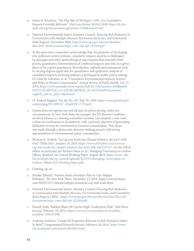- 48. Sanne H. Knudsen, "The Flip Side of *Michigan v. EPA*: Are Cumulative Impacts Centrally Relevant," *Utah Law Review* 2018:1, 2018, [https://dc.law.](https://dc.law.utah.edu/cgi/viewcontent.cgi?article=1140&context=ulr) [utah.edu/cgi/viewcontent.cgi?article=1140&context=ulr.](https://dc.law.utah.edu/cgi/viewcontent.cgi?article=1140&context=ulr)
- 49. National Environmental Justice Advisory Council, *Ensuring Risk Reduction in Communities with Multiple Stressors: Environmental Justice and Community Risks/Impacts,* December 2004, [https://www.epa.gov/sites/production/](https://www.epa.gov/sites/production/files/2015-02/documents/nejac-cum-risk-rpt-122104.pdf) [files/2015-02/documents/nejac-cum-risk-rpt-122104.pdf](https://www.epa.gov/sites/production/files/2015-02/documents/nejac-cum-risk-rpt-122104.pdf).
- 50. At the same time, researchers acknowledge that, for purposes of developing new pollution control policies, cumulative impacts analysis is challenged by data gaps and other methodological uncertainties that currently limit precise quantitative determinations of combined impacts and risks in a given place or for a given population. Nevertheless, sophisticated assessment tools in varying degrees applicable for quantitative and qualitative analysis of cumulative impacts are being utilized or developed in public policy settings. Cf. Gina M. Solomon, et. al. "Cumulative Environmental Impacts: Science and Policy to Protect Communities," *Annual Review of Public Health*, Vol. 37, 2016, [https://www.annualreviews.org/doi/full/10.1146/annurev-publhealth-](https://www.annualreviews.org/doi/full/10.1146/annurev-publhealth-032315-021807?url_ver=Z39.88-2003&rfr_id=ori%3Arid%3Acrossref.org&rfr_dat=cr_pub++0pubmed)[032315-021807?url\\_ver=Z39.88-2003&rfr\\_id=ori%3Arid%3Acrossref.](https://www.annualreviews.org/doi/full/10.1146/annurev-publhealth-032315-021807?url_ver=Z39.88-2003&rfr_id=ori%3Arid%3Acrossref.org&rfr_dat=cr_pub++0pubmed) [org&rfr\\_dat=cr\\_pub++0pubmed](https://www.annualreviews.org/doi/full/10.1146/annurev-publhealth-032315-021807?url_ver=Z39.88-2003&rfr_id=ori%3Arid%3Acrossref.org&rfr_dat=cr_pub++0pubmed).
- 51. Cf. Federal Register, Vol. 64, No. 137, July 19, 1999, [https://www.govinfo.gov/](https://www.govinfo.gov/content/pkg/FR-1999-07-19/pdf/99-17774.pdf) [content/pkg/FR-1999-07-19/pdf/99-17774.pdf.](https://www.govinfo.gov/content/pkg/FR-1999-07-19/pdf/99-17774.pdf)
- 52. Dēmos does not oppose any and all uses of carbon pricing under any circumstances. In New York State, for example, the NY Renews Coalition, of which Dēmos is a steering committee member, has adopted a state-wide carbon tax mechanism in its platform, with a primary objective of generating dedicated revenue for investment in frontline communities. This choice was made through a democratic decision-making process with strong representation of environmental justice communities.
- 53. Herman K. Trabish, "Is Cap and Trade the Climate Solution: the Jury's Still Out," *Utility Dive* , January 19, 2018, [https://www.utilitydive.com/news/is](https://www.utilitydive.com/news/is-cap-and-trade-the-climate-solution-the-jurys-still-out/514747/)[cap-and-trade-the-climate-solution-the-jurys-still-out/514747/.](https://www.utilitydive.com/news/is-cap-and-trade-the-climate-solution-the-jurys-still-out/514747/) On the roll of offsets in particular, see Barbara Haya, et. al., *Managing Uncertainty in Carbon Offsets*, Stanford Law School Working Paper, August 2019, [https://www-cdn.](https://www-cdn.law.stanford.edu/wp-content/uploads/2015/03/Managing-Uncertainty-in-Carbon-Offsets-SLS-Working-Paper.pdf) [law.stanford.edu/wp-content/uploads/2015/03/Managing-Uncertainty-in-](https://www-cdn.law.stanford.edu/wp-content/uploads/2015/03/Managing-Uncertainty-in-Carbon-Offsets-SLS-Working-Paper.pdf)[Carbon-Offsets-SLS-Working-Paper.pdf](https://www-cdn.law.stanford.edu/wp-content/uploads/2015/03/Managing-Uncertainty-in-Carbon-Offsets-SLS-Working-Paper.pdf).
- 54. Cushing, op. cit.
- 55. Hiroku Tabuchi, "Eastern States Introduce Plan to Cap Tailpipe Pollution," *The New York Times*, December 17, 2019, [https://www.nytimes.](https://www.nytimes.com/2019/12/17/climate/tailpipe-emissions-cap-and-trade.html) [com/2019/12/17/climate/tailpipe-emissions-cap-and-trade.html](https://www.nytimes.com/2019/12/17/climate/tailpipe-emissions-cap-and-trade.html).
- 56. National Environmental Justice Advisory Council, *Ensuring Risk Reduction in Communities with Multiple Stressors: Environmental Justice and Cumulative Risks/Impacts* (2004), [https://www.epa.gov/sites/production/files/2015-02/](https://www.epa.gov/sites/production/files/2015-02/documents/nejac-cum-risk-rpt-122104.pdf) [documents/nejac-cum-risk-rpt-122104.pdf](https://www.epa.gov/sites/production/files/2015-02/documents/nejac-cum-risk-rpt-122104.pdf).
- 57. Russell Gold, "Bakken Shale Oil Carries High Combustion Risk," *Wall Street Journal*, February 23, 2014, [https://www.wsj.com/articles/no-headline](https://nam10.safelinks.protection.outlook.com/?url=https%3A%2F%2Fwww.wsj.com%2Farticles%2Fno-headline-available-1393197890&data=01%7C01%7C%7Cc8477ec076e04e41e1c208d801b7022e%7Ccbd30192e2f046839c8f4b702b0ffb4a%7C0&sdata=fv5hMKIiU6kfLpWzy%2FQynCfVnXKk2T7b9RhcKet0nh4%3D&reserved=0)[available-1393197890](https://nam10.safelinks.protection.outlook.com/?url=https%3A%2F%2Fwww.wsj.com%2Farticles%2Fno-headline-available-1393197890&data=01%7C01%7C%7Cc8477ec076e04e41e1c208d801b7022e%7Ccbd30192e2f046839c8f4b702b0ffb4a%7C0&sdata=fv5hMKIiU6kfLpWzy%2FQynCfVnXKk2T7b9RhcKet0nh4%3D&reserved=0).
- 58. Anthony Andrews, "Crude Oil Properties Relevant to Rail Transport Safety: In Brief," Congressional Research Service, February 18, 2014, [https://www.](https://nam10.safelinks.protection.outlook.com/?url=https%3A%2F%2Fwww.everycrsreport.com%2Freports%2FR43401.html&data=01%7C01%7C%7Cc8477ec076e04e41e1c208d801b7022e%7Ccbd30192e2f046839c8f4b702b0ffb4a%7C0&sdata=CnvrYFhR6nFCGPGsW%2FFQ%2BDnJfx39QlH1Xrd7oPp9gT8%3D&reserved=0) [everycrsreport.com/reports/R43401.html.](https://nam10.safelinks.protection.outlook.com/?url=https%3A%2F%2Fwww.everycrsreport.com%2Freports%2FR43401.html&data=01%7C01%7C%7Cc8477ec076e04e41e1c208d801b7022e%7Ccbd30192e2f046839c8f4b702b0ffb4a%7C0&sdata=CnvrYFhR6nFCGPGsW%2FFQ%2BDnJfx39QlH1Xrd7oPp9gT8%3D&reserved=0)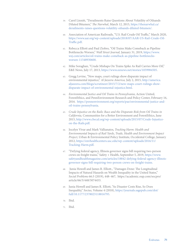- 59. Carol Linnitt, "Derailments Raise Questions About Volatility of Oilsands Diluted Bitumen," *The Narwhal*, March 12, 2015, [https://thenarwhal.ca/](https://nam10.safelinks.protection.outlook.com/?url=https%3A%2F%2Fthenarwhal.ca%2Fderailments-raises-questions-volatility-oilsands-diluted-bitumen%2F&data=01%7C01%7C%7Cc8477ec076e04e41e1c208d801b7022e%7Ccbd30192e2f046839c8f4b702b0ffb4a%7C0&sdata=32JrEJCDkKig8bIhFFDo%2FmWIBLFcGR566sksWdo9Qwo%3D&reserved=0) [derailments-raises-questions-volatility-oilsands-diluted-bitumen/.](https://nam10.safelinks.protection.outlook.com/?url=https%3A%2F%2Fthenarwhal.ca%2Fderailments-raises-questions-volatility-oilsands-diluted-bitumen%2F&data=01%7C01%7C%7Cc8477ec076e04e41e1c208d801b7022e%7Ccbd30192e2f046839c8f4b702b0ffb4a%7C0&sdata=32JrEJCDkKig8bIhFFDo%2FmWIBLFcGR566sksWdo9Qwo%3D&reserved=0)
- 60. Association of American Railroads, "U.S. Rail Crude Oil Traffic," March 2020, [https://www.aar.org/wp-content/uploads/2018/07/AAR-US-Rail-Crude-Oil-](https://nam10.safelinks.protection.outlook.com/?url=https%3A%2F%2Fwww.aar.org%2Fwp-content%2Fuploads%2F2018%2F07%2FAAR-US-Rail-Crude-Oil-Traffic.pdf&data=01%7C01%7C%7Cc8477ec076e04e41e1c208d801b7022e%7Ccbd30192e2f046839c8f4b702b0ffb4a%7C0&sdata=NRNXmZQEcuEklNxP8vT5vCTJUnxqoAWqyfyqGfJHB0o%3D&reserved=0)[Traffic.pdf](https://nam10.safelinks.protection.outlook.com/?url=https%3A%2F%2Fwww.aar.org%2Fwp-content%2Fuploads%2F2018%2F07%2FAAR-US-Rail-Crude-Oil-Traffic.pdf&data=01%7C01%7C%7Cc8477ec076e04e41e1c208d801b7022e%7Ccbd30192e2f046839c8f4b702b0ffb4a%7C0&sdata=NRNXmZQEcuEklNxP8vT5vCTJUnxqoAWqyfyqGfJHB0o%3D&reserved=0).
- 61. Rebecca Elliott and Paul Ziobro, "Oil Trains Make Comeback as Pipeline Bottlenecks Worsen," *Wall Street Journal,* January 31, 2019, [https://www.](https://nam10.safelinks.protection.outlook.com/?url=https%3A%2F%2Fwww.wsj.com%2Farticles%2Foil-trains-make-comeback-as-pipeline-bottlenecks-worsen-11548930600&data=01%7C01%7C%7Cc8477ec076e04e41e1c208d801b7022e%7Ccbd30192e2f046839c8f4b702b0ffb4a%7C0&sdata=%2FRm5WxHHV1vET34GxTaugztVaoLxDSXFKU%2FzRGQHNz0%3D&reserved=0) [wsj.com/articles/oil-trains-make-comeback-as-pipeline-bottlenecks](https://nam10.safelinks.protection.outlook.com/?url=https%3A%2F%2Fwww.wsj.com%2Farticles%2Foil-trains-make-comeback-as-pipeline-bottlenecks-worsen-11548930600&data=01%7C01%7C%7Cc8477ec076e04e41e1c208d801b7022e%7Ccbd30192e2f046839c8f4b702b0ffb4a%7C0&sdata=%2FRm5WxHHV1vET34GxTaugztVaoLxDSXFKU%2FzRGQHNz0%3D&reserved=0)[worsen-11548930600](https://nam10.safelinks.protection.outlook.com/?url=https%3A%2F%2Fwww.wsj.com%2Farticles%2Foil-trains-make-comeback-as-pipeline-bottlenecks-worsen-11548930600&data=01%7C01%7C%7Cc8477ec076e04e41e1c208d801b7022e%7Ccbd30192e2f046839c8f4b702b0ffb4a%7C0&sdata=%2FRm5WxHHV1vET34GxTaugztVaoLxDSXFKU%2FzRGQHNz0%3D&reserved=0).
- 62. Mike Soraghan, "Crude Mishaps On Trains Spike As Rail Carries More Oil," E&E News, July 17, 2013, [https://www.eenews.net/stories/1059984505](https://nam10.safelinks.protection.outlook.com/?url=https%3A%2F%2Fwww.eenews.net%2Fstories%2F1059984505&data=01%7C01%7C%7Cc8477ec076e04e41e1c208d801b7022e%7Ccbd30192e2f046839c8f4b702b0ffb4a%7C0&sdata=4rYzdQtxWEUHlVeevnEg4dN26Cl01o%2FNGMtAHTBYuH8%3D&reserved=0).
- 63. Gregg Levine, "New maps, court rulings show disparate impact of environmental injustice," *Al Jazeera America,* July 2, 2015, [http://america.](https://nam10.safelinks.protection.outlook.com/?url=http%3A%2F%2Famerica.aljazeera.com%2Fblogs%2Fscrutineer%2F2015%2F7%2F2%2Fnew-maps-court-rulings-show-disparate-impact-of-environmental-injustice.html&data=01%7C01%7C%7Cc8477ec076e04e41e1c208d801b7022e%7Ccbd30192e2f046839c8f4b702b0ffb4a%7C0&sdata=w1dIaqZeCitlx11XtzhdC27jlUKfW40skSijjTKDf1Y%3D&reserved=0) [aljazeera.com/blogs/scrutineer/2015/7/2/new-maps-court-rulings-show](https://nam10.safelinks.protection.outlook.com/?url=http%3A%2F%2Famerica.aljazeera.com%2Fblogs%2Fscrutineer%2F2015%2F7%2F2%2Fnew-maps-court-rulings-show-disparate-impact-of-environmental-injustice.html&data=01%7C01%7C%7Cc8477ec076e04e41e1c208d801b7022e%7Ccbd30192e2f046839c8f4b702b0ffb4a%7C0&sdata=w1dIaqZeCitlx11XtzhdC27jlUKfW40skSijjTKDf1Y%3D&reserved=0)[disparate-impact-of-environmental-injustice.html.](https://nam10.safelinks.protection.outlook.com/?url=http%3A%2F%2Famerica.aljazeera.com%2Fblogs%2Fscrutineer%2F2015%2F7%2F2%2Fnew-maps-court-rulings-show-disparate-impact-of-environmental-injustice.html&data=01%7C01%7C%7Cc8477ec076e04e41e1c208d801b7022e%7Ccbd30192e2f046839c8f4b702b0ffb4a%7C0&sdata=w1dIaqZeCitlx11XtzhdC27jlUKfW40skSijjTKDf1Y%3D&reserved=0)
- 64. *Environmental Justice and Oil Trains in Pennsylvania*, Action United, ForestEthics, and PennEnvironment Research and Policy Center, February 16, 2016. [https://pennenvironment.org/reports/pae/environmental-justice-and](https://nam10.safelinks.protection.outlook.com/?url=https%3A%2F%2Fpennenvironment.org%2Freports%2Fpae%2Fenvironmental-justice-and-oil-trains-pennsylvania&data=01%7C01%7C%7Cc8477ec076e04e41e1c208d801b7022e%7Ccbd30192e2f046839c8f4b702b0ffb4a%7C0&sdata=BEZXRKJ2%2BnZiz5hGuew9OETqgDu%2BsodvxohNdXQcLzo%3D&reserved=0)[oil-trains-pennsylvania.](https://nam10.safelinks.protection.outlook.com/?url=https%3A%2F%2Fpennenvironment.org%2Freports%2Fpae%2Fenvironmental-justice-and-oil-trains-pennsylvania&data=01%7C01%7C%7Cc8477ec076e04e41e1c208d801b7022e%7Ccbd30192e2f046839c8f4b702b0ffb4a%7C0&sdata=BEZXRKJ2%2BnZiz5hGuew9OETqgDu%2BsodvxohNdXQcLzo%3D&reserved=0)
- 65. *Crude Injustice on the Rails: Race and the Disparate Risk from Oil Trains in California,* Communities for a Better Environment and ForestEthics, June 2015, [http://www.cbecal.org/wp-content/uploads/2015/07/Crude-Injustice](https://nam10.safelinks.protection.outlook.com/?url=http%3A%2F%2Fwww.cbecal.org%2Fwp-content%2Fuploads%2F2015%2F07%2FCrude-Injustice-on-the-Rails.pdf&data=01%7C01%7C%7Cc8477ec076e04e41e1c208d801b7022e%7Ccbd30192e2f046839c8f4b702b0ffb4a%7C0&sdata=1pTuHxjvP7qDU3kLW7XG4zUuM8%2BQWPBRt%2FVK2zV3md0%3D&reserved=0)[on-the-Rails.pdf.](https://nam10.safelinks.protection.outlook.com/?url=http%3A%2F%2Fwww.cbecal.org%2Fwp-content%2Fuploads%2F2015%2F07%2FCrude-Injustice-on-the-Rails.pdf&data=01%7C01%7C%7Cc8477ec076e04e41e1c208d801b7022e%7Ccbd30192e2f046839c8f4b702b0ffb4a%7C0&sdata=1pTuHxjvP7qDU3kLW7XG4zUuM8%2BQWPBRt%2FVK2zV3md0%3D&reserved=0)
- 66. Jocelyn Vivar and Mark Vallianatos, *Tracking Harm: Health and Environmental Impacts of Rail Yards*, *Trade, Health and Environment Impact Project*, Urban & Environmental Policy Institute, Occidental College, January 2012, [https://envhealthcenters.usc.edu/wp-content/uploads/2016/11/](https://nam10.safelinks.protection.outlook.com/?url=https%3A%2F%2Fenvhealthcenters.usc.edu%2Fwp-content%2Fuploads%2F2016%2F11%2FTracking-Harm.pdf&data=01%7C01%7C%7Cc8477ec076e04e41e1c208d801b7022e%7Ccbd30192e2f046839c8f4b702b0ffb4a%7C0&sdata=wzhWfh3R8jsIfaDOlWt%2BV5FFk7LKOo8iHbH5t%2FQQnLE%3D&reserved=0) [Tracking-Harm.pdf](https://nam10.safelinks.protection.outlook.com/?url=https%3A%2F%2Fenvhealthcenters.usc.edu%2Fwp-content%2Fuploads%2F2016%2F11%2FTracking-Harm.pdf&data=01%7C01%7C%7Cc8477ec076e04e41e1c208d801b7022e%7Ccbd30192e2f046839c8f4b702b0ffb4a%7C0&sdata=wzhWfh3R8jsIfaDOlWt%2BV5FFk7LKOo8iHbH5t%2FQQnLE%3D&reserved=0).
- 67. "Defying federal agency, Illinois governor signs bill requiring two-person crews on freight trains," Safety + Health, September 5, 2019, [https://www.](https://www.safetyandhealthmagazine.com/articles/18842-defying-federal-agency-illinois-governor-signs-bill-requiring-two-person-crews-on-freight-trains) [safetyandhealthmagazine.com/articles/18842-defying-federal-agency-illinois](https://www.safetyandhealthmagazine.com/articles/18842-defying-federal-agency-illinois-governor-signs-bill-requiring-two-person-crews-on-freight-trains)[governor-signs-bill-requiring-two-person-crews-on-freight-trains](https://www.safetyandhealthmagazine.com/articles/18842-defying-federal-agency-illinois-governor-signs-bill-requiring-two-person-crews-on-freight-trains).
- 68. Junia Howell and James R. Elliott., "Damages Done: The Longitudinal Impacts of Natural Hazards on Wealth Inequality in the United States," *Social Problems* 66:3 (2019), 448–467, [https://academic.oup.com/socpro/](https://academic.oup.com/socpro/article/66/3/448/5074453) [article/66/3/448/5074453](https://academic.oup.com/socpro/article/66/3/448/5074453).
- 69. Junia Howell and James R. Elliott, "As Disaster Costs Rise, So Does Inequality," *Socius*, Volume 4 (2018), [https://journals.sagepub.com/doi/](https://journals.sagepub.com/doi/full/10.1177/2378023118816795) [full/10.1177/2378023118816795.](https://journals.sagepub.com/doi/full/10.1177/2378023118816795)
- 70. Ibid.
- 71. Ibid.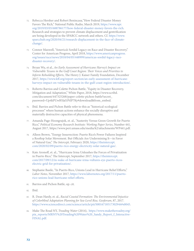- 72. Rebecca Hersher and Robert Benincasa,"How Federal Disaster Money Favors The Rich," National Public Radio, March 2019, [https://www.npr.](https://www.npr.org/2019/03/05/688786177/how-federal-disaster-money-favors-the-rich) [org/2019/03/05/688786177/how-federal-disaster-money-favors-the-rich.](https://www.npr.org/2019/03/05/688786177/how-federal-disaster-money-favors-the-rich) Research and strategies to prevent climate displacement and gentrification are being developed in the SPARCC network and others. Cf. [https://www.](https://www.sparcchub.org/2020/04/21/research-displacement-in-the-face-of-climate-change/) [sparcchub.org/2020/04/21/research-displacement-in-the-face-of-climate](https://www.sparcchub.org/2020/04/21/research-displacement-in-the-face-of-climate-change/)[change/](https://www.sparcchub.org/2020/04/21/research-displacement-in-the-face-of-climate-change/).
- 73. Connor Maxwell, "America's Sordid Legacy on Race and Disaster Recovery," Center for American Progress, April 2018, [https://www.americanprogress.](https://www.americanprogress.org/issues/race/news/2018/04/05/448999/americas-sordid-legacy-race-disaster-recovery/) [org/issues/race/news/2018/04/05/448999/americas-sordid-legacy-race](https://www.americanprogress.org/issues/race/news/2018/04/05/448999/americas-sordid-legacy-race-disaster-recovery/)[disaster-recovery/.](https://www.americanprogress.org/issues/race/news/2018/04/05/448999/americas-sordid-legacy-race-disaster-recovery/)
- 74. Bryan Wu, et al., *An Early Assessment of Hurricane Harvey's Impact on Vulnerable Texans in the Gulf Coast Region: Their Voices and Priorities to Inform Rebuilding Efforts*, The Henry J. Kaiser Family Foundation, December 2017, [https://www.kff.org/report-section/an-early-assessment-of-hurricane](https://www.kff.org/report-section/an-early-assessment-of-hurricane-harveys-impact-on-vulnerable-texans-in-the-gulf-coast-region-introduction/)[harveys-impact-on-vulnerable-texans-in-the-gulf-coast-region-introduction/](https://www.kff.org/report-section/an-early-assessment-of-hurricane-harveys-impact-on-vulnerable-texans-in-the-gulf-coast-region-introduction/).
- 75. Roberto Barrios and Colette Pichon Battle, "Equity in Disaster Recovery, Mitigation and Adaptation," White Paper, 2018, https://www.scribd. com/document/447325268/paper-colette-pichon-battle?secret\_ password=Up4kPUwB5Jal1PtIP7Ky#download&from\_embed.
- 76. Ibid. Barrios and Pichon Battle refer to this as "historical-ecological processes" where human actions enhance the socially disruptive and materially destructive capacities of physical phenomena.
- 77. Amanda Page-Hoongrajok, et. al., "Austerity Versus Green Growth for Puerto Rico," *Political Economy Research Institute: Working Paper Series*, Number 441, August 2017,<https://www.peri.umass.edu/media/k2/attachments/WP441.pdf>.
- 78. Alleen Brown, "Energy Insurrection: Puerto Rico's Power Failures Inspired a Rooftop Solar Movement. But Officials Are Undermining It—in Favor of Natural Gas," *The Intercept,* February 2020, [https://theintercept.](https://theintercept.com/2020/02/09/puerto-rico-energy-electricity-solar-natural-gas/) [com/2020/02/09/puerto-rico-energy-electricity-solar-natural-gas/.](https://theintercept.com/2020/02/09/puerto-rico-energy-electricity-solar-natural-gas/)
- 79. Kate Aronoff, et. al., "Hurricane Irma Unleashes the Forces of Privatization in Puerto Rico," The Intercept, September 2017, [https://theintercept.](https://theintercept.com/2017/09/12/in-wake-of-hurricane-irma-vultures-eye-puerto-ricos-electric-grid-for-privatization/) [com/2017/09/12/in-wake-of-hurricane-irma-vultures-eye-puerto-ricos](https://theintercept.com/2017/09/12/in-wake-of-hurricane-irma-vultures-eye-puerto-ricos-electric-grid-for-privatization/)[electric-grid-for-privatization/.](https://theintercept.com/2017/09/12/in-wake-of-hurricane-irma-vultures-eye-puerto-ricos-electric-grid-for-privatization/)
- 80. Stephanie Basile, "In Puerto Rico, Unions Lead in Hurricane Relief Efforts," *Labor Notes,* November 2017, [https://www.labornotes.org/2017/11/puerto](https://www.labornotes.org/2017/11/puerto-rico-unions-lead-hurricane-relief-efforts)[rico-unions-lead-hurricane-relief-efforts.](https://www.labornotes.org/2017/11/puerto-rico-unions-lead-hurricane-relief-efforts)
- 81. Barrios and Pichon Battle, op. cit.
- 82. Ibid.
- 83. R. Dean Hardy, et. al., *Racial Coastal Formation: The Environmental Injustice of Colorblind Adaptation Planning for Sea-Level Rise, Geoforum*, 87, 2017. https://www.sciencedirect.com/science/article/pii/S0016718517302944#s0045.
- 84. Make The Road NY, *Treading Water* (2014), [https://www.maketheroadny.org/](https://www.maketheroadny.org/pix_reports/MRNY%20Treading%20Water%20_Sandy_Report_f_Interactive-FINAL.pdf) [pix\\_reports/MRNY%20Treading%20Water%20\\_Sandy\\_Report\\_f\\_Interactive-](https://www.maketheroadny.org/pix_reports/MRNY%20Treading%20Water%20_Sandy_Report_f_Interactive-FINAL.pdf)[FINAL.pdf.](https://www.maketheroadny.org/pix_reports/MRNY%20Treading%20Water%20_Sandy_Report_f_Interactive-FINAL.pdf)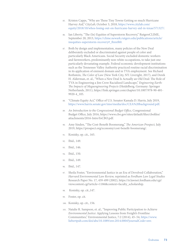- 85. Kristen Capps, "Why are These Tiny Towns Getting so much Hurricane Harvey Aid," *CityLab*, October 3, 2018, [https://www.citylab.com/](https://www.citylab.com/equity/2018/10/whos-losing-out-on-hurricane-harvey-aid-in-texas/571327/) [equity/2018/10/whos-losing-out-on-hurricane-harvey-aid-in-texas/571327/.](https://www.citylab.com/equity/2018/10/whos-losing-out-on-hurricane-harvey-aid-in-texas/571327/)
- 86. Ian Liberty, "The (In) Equities of Superstorm Recovery," RutgersCLIME, September 20, 2013, https://clime.newark.rutgers.edu/publications/article/ inequities-superstorm-recovery#\_ftnref60.
- 87. Both by design and implementation, many policies of the New Deal deliberately excluded or discriminated against people of color and particularly Black Americans. Social Security excluded domestic workers and farmworkers, predominantly non-white occupations, to take just one particularly devastating example. Federal economic development institutions such as the Tennessee Valley Authority practiced routine racial discrimination in its application of eminent domain and in TVA employment. See Richard Rothstein, *The Color of Law* (New York City, NY: Liveright, 2017), and Derek H. Alderman, et. al., "When a New Deal Is Actually an Old Deal: The Role of TVA in Engineering a Jim Crow Racialized Landscape," *Engineering Earth: The Impacts of Megaengineering Projects* (Heidelberg, Germany: Springer Netherlands, 2011), [https://link.springer.com/chapter/10.1007/978-90-481-](https://link.springer.com/chapter/10.1007/978-90-481-9920-4_105) [9920-4\\_105.](https://link.springer.com/chapter/10.1007/978-90-481-9920-4_105)
- 88. "Climate Equity Act," Office of U.S. Senator Kamala D. Harris, July 2019, <https://www.harris.senate.gov/imo/media/doc/CEA%20background.pdf>.
- 89. *An Introduction to the Congressional Budget Office*, Congressional Budget Office, July 2016, [https://www.cbo.gov/sites/default/files/cbofiles/](https://www.cbo.gov/sites/default/files/cbofiles/attachments/2016-IntroToCBO.pdf) [attachments/2016-IntroToCBO.pdf.](https://www.cbo.gov/sites/default/files/cbofiles/attachments/2016-IntroToCBO.pdf)
- 90. Amy Sinden, "The Cost-Benefit Boomerang," *The American Prospect,* July 2019, <https://prospect.org/economy/cost-benefit-boomerang/>.
- 91. Konisky, op. cit., 165.
- 92. Ibid., 149.
- 93. Ibid., 146.
- 94. Ibid., 150.
- 95. Ibid., 149.
- 96. Ibid., 147.
- 97. Sheila Foster, "Environmental Justice in an Era of Devolved Collaboration," *Harvard Environmental Law Review,* reprinted as *Fordham Law Legal Studies* Research Paper No. 17, 459-499 (2002), [https://ir.lawnet.fordham.edu/cgi/](https://ir.lawnet.fordham.edu/cgi/viewcontent.cgi?article=1186&context=faculty_scholarship) [viewcontent.cgi?article=1186&context=faculty\\_scholarship.](https://ir.lawnet.fordham.edu/cgi/viewcontent.cgi?article=1186&context=faculty_scholarship)
- 98. Konisky, op. cit.,147.
- 99. Foster, op. cit.
- 100. Konisky, op. cit., 156.
- 101. Natalie R. Sampson, et. al., "Improving Public Participation to Achieve *Environmental Justice*: Applying Lessons from Freight's Frontline Communities," Environmental Justice, 7:2 (2014), 45–54, [https://www.](https://www.liebertpub.com/doi/abs/10.1089/env.2014.0004?journalCode=env) [liebertpub.com/doi/abs/10.1089/env.2014.0004?journalCode=env.](https://www.liebertpub.com/doi/abs/10.1089/env.2014.0004?journalCode=env)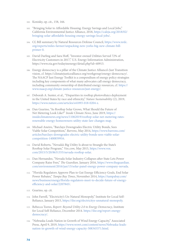- 102. Konisky, op. cit., 158, 166.
- 103. "Bringing Solar to Affordable Housing: Energy Savings and Local Jobs," California Environmental Justice Alliance, 2018, [https://caleja.org/2018/02/](https://caleja.org/2018/02/bringing-solar-affordable-housing-energy-savings-local-jobs/) [bringing-solar-affordable-housing-energy-savings-local-jobs/.](https://caleja.org/2018/02/bringing-solar-affordable-housing-energy-savings-local-jobs/)
- 104. Cf, Bill summary by Natural Resources Defense Council, [https://www.nrdc.](https://www.nrdc.org/experts/miles-farmer/unpacking-new-yorks-big-new-climate-bill-primer-0) [org/experts/miles-farmer/unpacking-new-yorks-big-new-climate-bill](https://www.nrdc.org/experts/miles-farmer/unpacking-new-yorks-big-new-climate-bill-primer-0)[primer-0.](https://www.nrdc.org/experts/miles-farmer/unpacking-new-yorks-big-new-climate-bill-primer-0)
- 105. David Darling and Sara Hoff, "Investor-owned Utilities Served 72% of Electricity Customers in 2017," U.S. Energy Information Administration, [https://www.eia.gov/todayinenergy/detail.php?id=40913.](https://www.eia.gov/todayinenergy/detail.php?id=40913)
- 106. Energy democracy is a pillar of the Climate Justice Alliance's Just Transition vision, cf. [https://climatejusticealliance.org/workgroup/energy-democracy/.](https://climatejusticealliance.org/workgroup/energy-democracy/) The NAACP Just Energy Toolkit is a compendium of energy policy strategies including key components of what many advocates call energy democracy, including community ownership of distributed energy resources, cf. [https://](https://www.naacp.org/climate-justice-resources/just-energy/) [www.naacp.org/climate-justice-resources/just-energy/.](https://www.naacp.org/climate-justice-resources/just-energy/)
- 107. Deborah A. Sunter, et al., "Disparities in rooftop photovoltaics deployment in the United States by race and ethnicity," *Nature Sustainability* (2), 2019, [https://www.nature.com/articles/s41893-018-0204-z.](https://www.nature.com/articles/s41893-018-0204-z)
- 108. Dan Gearino, "As Rooftop Solar Grows, What Should the Future of Net Metering Look Like?" *Inside Climate News,* June 2019, [https://](https://insideclimatenews.org/news/11062019/rooftop-solar-net-metering-rates-renewable-energy-homeowners-utility-state-law-changes-map) [insideclimatenews.org/news/11062019/rooftop-solar-net-metering-rates](https://insideclimatenews.org/news/11062019/rooftop-solar-net-metering-rates-renewable-energy-homeowners-utility-state-law-changes-map)[renewable-energy-homeowners-utility-state-law-changes-map.](https://insideclimatenews.org/news/11062019/rooftop-solar-net-metering-rates-renewable-energy-homeowners-utility-state-law-changes-map)
- 109. Michael Aneiro, "Barclays Downgrades Electric Utility Bonds, Sees Viable Solar Competition," *Barrons*, May 2014, [https://www.barrons.com/](https://www.barrons.com/articles/barclays-downgrades-electric-utility-bonds-sees-viable-solar-competition-1400859916) [articles/barclays-downgrades-electric-utility-bonds-sees-viable-solar](https://www.barrons.com/articles/barclays-downgrades-electric-utility-bonds-sees-viable-solar-competition-1400859916)[competition-1400859916](https://www.barrons.com/articles/barclays-downgrades-electric-utility-bonds-sees-viable-solar-competition-1400859916).
- 110. David Roberts, "Nevada's Big Utility Is about to Strangle the State's Rooftop Solar Program," *Vox.com,* May 2015, [https://www.vox.](https://www.vox.com/2015/5/20/8631355/nevada-rooftop-solar) [com/2015/5/20/8631355/nevada-rooftop-solar](https://www.vox.com/2015/5/20/8631355/nevada-rooftop-solar).
- 111. Dan Hernandez, "Nevada Solar Industry Collapses after State Lets Power Company Raise Fees," *The Guardian,* January 2016, [https://www.theguardian.](https://www.theguardian.com/environment/2016/jan/13/solar-panel-energy-power-company-nevada) [com/environment/2016/jan/13/solar-panel-energy-power-company-nevada](https://www.theguardian.com/environment/2016/jan/13/solar-panel-energy-power-company-nevada).
- 112. "Florida Regulators Approve Plan to Gut Energy Efficiency Goals, End Solar Power Rebates," *Tampa Bay Times*, November 2014, [https://tampabay.com/](https://tampabay.com/news/business/energy/florida-regulators-meet-to-decide-future-of-energy-efficiency-and-solar/2207845/) [news/business/energy/florida-regulators-meet-to-decide-future-of-energy](https://tampabay.com/news/business/energy/florida-regulators-meet-to-decide-future-of-energy-efficiency-and-solar/2207845/)[efficiency-and-solar/2207845/](https://tampabay.com/news/business/energy/florida-regulators-meet-to-decide-future-of-energy-efficiency-and-solar/2207845/).
- 113. Gearino, op. cit.
- 114. John Farrell, "Electricity's Un-Natural Monopoly," Institute for Local Self-Reliance, January 2015, [https://ilsr.org/electricitys-unnatural-monopoly.](https://ilsr.org/electricitys-unnatural-monopoly)
- 115. Rebecca Toews, *Report: Beyond Utility 2.0 to Energy Democracy*, Institute for Local Self-Reliance, December 2014. [https://ilsr.org/report-energy](https://ilsr.org/report-energy-democracy/)[democracy/](https://ilsr.org/report-energy-democracy/).
- 116. "Nebraska Leads Nation in Growth of Wind Energy Capacity," Associated Press, April 9, 2019, [https://www.wowt.com/content/news/Nebraska-leads](https://www.wowt.com/content/news/Nebraska-leads-nation-in-growth-of-wind-energy-capacity-508345371.html)[nation-in-growth-of-wind-energy-capacity-508345371.html.](https://www.wowt.com/content/news/Nebraska-leads-nation-in-growth-of-wind-energy-capacity-508345371.html)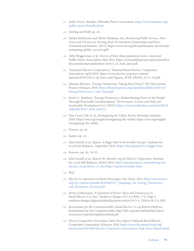- 117. *Public Power: Benefits*, Nebraska Power Association, [https://www.nepower.org/](https://www.nepower.org/public-power/benefits.html) [public-power/benefits.html](https://www.nepower.org/public-power/benefits.html).
- 118. Darling and Hoff, op. cit.
- 119. Satoko Kishimoto and Olivier Petitjean, eds., *Reclaiming Public Services: How Cities and Citizens are Turning Back Privatisation* (Amsterdam and Paris: Transnational Institute, 2017), [https://www.tni.org/files/publication-downloads/](https://www.tni.org/files/publication-downloads/reclaiming_public_services.pdf) [reclaiming\\_public\\_services.pdf.](https://www.tni.org/files/publication-downloads/reclaiming_public_services.pdf)
- 120. Abby Briggerman, et al., *Survey of State Municipalization Laws*, American Public Power Association, May 2012, [https://www.publicpower.org/system/files/](https://www.publicpower.org/system/files/documents/muncipalization-survey_of_state_laws.pdf) [documents/muncipalization-survey\\_of\\_state\\_laws.pdf](https://www.publicpower.org/system/files/documents/muncipalization-survey_of_state_laws.pdf).
- 121. "America's Electric Cooperatives," National Rural Electric Cooperative Association, April 2019, [https://www.electric.coop/wp-content/](https://www.electric.coop/wp-content/uploads/2019/10/Co-op-Facts-and-Figures_WEB_PAGES_10-11-19.pdf) [uploads/2019/10/Co-op-Facts-and-Figures\\_WEB\\_PAGES\\_10-11-19.pdf](https://www.electric.coop/wp-content/uploads/2019/10/Co-op-Facts-and-Figures_WEB_PAGES_10-11-19.pdf).
- 122. Johanna Bozuwa, "Energy Democracy: Taking Back Power," The Next System Project, February 2019, [https://thenextsystem.org/sites/default/files/2019-03/](https://thenextsystem.org/sites/default/files/2019-03/EnergyDemocracy-2-star-Final.pdf) [EnergyDemocracy-2-star-Final.pdf.](https://thenextsystem.org/sites/default/files/2019-03/EnergyDemocracy-2-star-Final.pdf)
- 123. Jennie C. Stephens, "Energy Democracy: Redistributing Power to the People Through Renewable Transformation," *Environment: Science and Policy for Sustainable Development* 61:2 (2019), [https://www.tandfonline.com/doi/full/10.](https://www.tandfonline.com/doi/full/10.1080/00139157.2019.1564212) [1080/00139157.2019.1564212](https://www.tandfonline.com/doi/full/10.1080/00139157.2019.1564212).
- 124. Dan Cross-Call, et. al., *Reimagining the Utility*, Rocky Mountain Institute, 2018, <https://rmi.org/insight/reimagining-the-utility/>.[https://rmi.org/insight/](https://rmi.org/insight/reimagining-the-utility/) [reimagining-the-utility/](https://rmi.org/insight/reimagining-the-utility/)
- 125. Toewes, op. cit.
- 126. Sunter, op. cit.
- 127. John Farrell, et al., *Report: Is Bigger Best in Renewable Energy?,* Institute for Local Self-Reliance, September 2016, [https://ilsr.org/report-is-bigger-best/.](https://ilsr.org/report-is-bigger-best/)
- 128. Bozuwa, op, cit., 54-55.
- 129. John Farrell, et al., *Report: Re-Member-Ing the Electric Cooperative*, Institute for Local Self-Reliance, March 2016, [https://ilsr.org/report-remembering-the](https://ilsr.org/report-remembering-the-electric-cooperative/)[electric-cooperative/](https://ilsr.org/report-remembering-the-electric-cooperative/); cf. also <https://weown.it/whats-stake>.
- 130. Ibid.
- 131. *Electric Co-operatives in Rural Mississippi*, One Voice, 2016, [http://onevoicems.](http://onevoicems.org/wp-content/uploads/2016/06/OV_Campaign_for_Energy_Democracy_and_Economic_Security.pdf) [org/wp-content/uploads/2016/06/OV\\_Campaign\\_for\\_Energy\\_Democracy\\_](http://onevoicems.org/wp-content/uploads/2016/06/OV_Campaign_for_Energy_Democracy_and_Economic_Security.pdf) [and\\_Economic\\_Security.pdf](http://onevoicems.org/wp-content/uploads/2016/06/OV_Campaign_for_Energy_Democracy_and_Economic_Security.pdf).
- 132. Henry Leifermann, "A Question of Power: Race and Democracy in Rural Electric Co-Ops," *Southern Changes* 18:3-4 (1996), 3-15, [http://](http://southernchanges.digitalscholarship.emory.edu/sc18-3-4_1204/sc18-3-4_002/) [southernchanges.digitalscholarship.emory.edu/sc18-3-4\\_1204/sc18-3-4\\_002/.](http://southernchanges.digitalscholarship.emory.edu/sc18-3-4_1204/sc18-3-4_002/)
- 133. *Kentuckians for the Commonwealth's Rural Electric Co-op Reform Platform*, Kentuckians for the Commonwealth, [http://kftc.org/sites/default/files/docs/](http://kftc.org/sites/default/files/docs/resources/coopreformplatformfinal.pdf) [resources/coopreformplatformfinal.pdf](http://kftc.org/sites/default/files/docs/resources/coopreformplatformfinal.pdf).
- 134. *Electric Cooperative Governance Task Force Report*, National Rural Electric Cooperative Association, February 2018, [https://www.documentcloud.org/](https://www.documentcloud.org/documents/6561940-Electric-Cooperative-Governance-Task-Force-Report.html) [documents/6561940-Electric-Cooperative-Governance-Task-Force-Report.html](https://www.documentcloud.org/documents/6561940-Electric-Cooperative-Governance-Task-Force-Report.html).